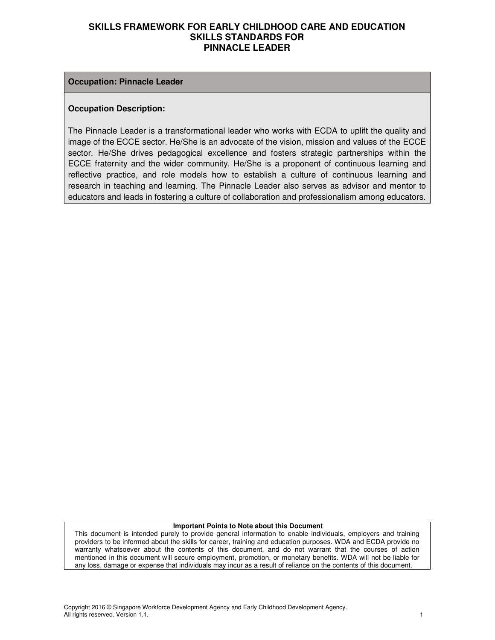#### **Occupation: Pinnacle Leader**

#### **Occupation Description:**

The Pinnacle Leader is a transformational leader who works with ECDA to uplift the quality and image of the ECCE sector. He/She is an advocate of the vision, mission and values of the ECCE sector. He/She drives pedagogical excellence and fosters strategic partnerships within the ECCE fraternity and the wider community. He/She is a proponent of continuous learning and reflective practice, and role models how to establish a culture of continuous learning and research in teaching and learning. The Pinnacle Leader also serves as advisor and mentor to educators and leads in fostering a culture of collaboration and professionalism among educators.

#### **Important Points to Note about this Document**

This document is intended purely to provide general information to enable individuals, employers and training providers to be informed about the skills for career, training and education purposes. WDA and ECDA provide no warranty whatsoever about the contents of this document, and do not warrant that the courses of action mentioned in this document will secure employment, promotion, or monetary benefits. WDA will not be liable for any loss, damage or expense that individuals may incur as a result of reliance on the contents of this document.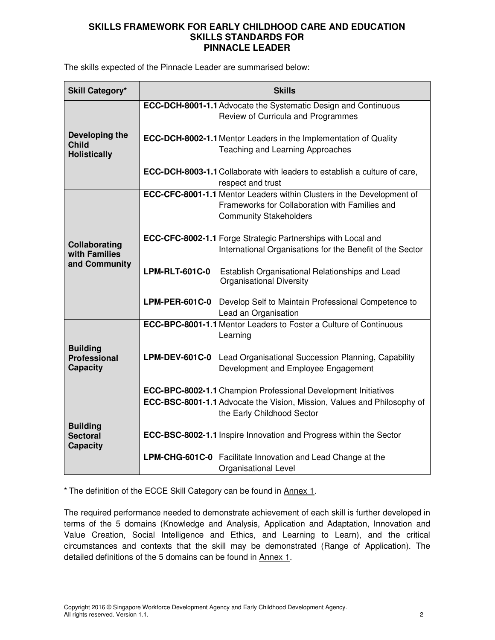The skills expected of the Pinnacle Leader are summarised below:

| <b>Skill Category*</b>             |                       | <b>Skills</b>                                                                                                           |
|------------------------------------|-----------------------|-------------------------------------------------------------------------------------------------------------------------|
|                                    |                       | ECC-DCH-8001-1.1 Advocate the Systematic Design and Continuous                                                          |
|                                    |                       | Review of Curricula and Programmes                                                                                      |
| Developing the<br><b>Child</b>     |                       | <b>ECC-DCH-8002-1.1 Mentor Leaders in the Implementation of Quality</b>                                                 |
| <b>Holistically</b>                |                       | Teaching and Learning Approaches                                                                                        |
|                                    |                       | <b>ECC-DCH-8003-1.1 Collaborate with leaders to establish a culture of care,</b><br>respect and trust                   |
|                                    |                       | ECC-CFC-8001-1.1 Mentor Leaders within Clusters in the Development of<br>Frameworks for Collaboration with Families and |
|                                    |                       | <b>Community Stakeholders</b>                                                                                           |
| Collaborating                      |                       | <b>ECC-CFC-8002-1.1 Forge Strategic Partnerships with Local and</b>                                                     |
| with Families                      |                       | International Organisations for the Benefit of the Sector                                                               |
| and Community                      | <b>LPM-RLT-601C-0</b> | Establish Organisational Relationships and Lead                                                                         |
|                                    |                       | <b>Organisational Diversity</b>                                                                                         |
|                                    | <b>LPM-PER-601C-0</b> | Develop Self to Maintain Professional Competence to                                                                     |
|                                    |                       | Lead an Organisation                                                                                                    |
|                                    |                       | <b>ECC-BPC-8001-1.1 Mentor Leaders to Foster a Culture of Continuous</b><br>Learning                                    |
| <b>Building</b>                    |                       |                                                                                                                         |
| <b>Professional</b>                |                       | <b>LPM-DEV-601C-0</b> Lead Organisational Succession Planning, Capability                                               |
| <b>Capacity</b>                    |                       | Development and Employee Engagement                                                                                     |
|                                    |                       | ECC-BPC-8002-1.1 Champion Professional Development Initiatives                                                          |
|                                    |                       | ECC-BSC-8001-1.1 Advocate the Vision, Mission, Values and Philosophy of                                                 |
|                                    |                       | the Early Childhood Sector                                                                                              |
| <b>Building</b><br><b>Sectoral</b> |                       | <b>ECC-BSC-8002-1.1</b> Inspire Innovation and Progress within the Sector                                               |
| <b>Capacity</b>                    |                       |                                                                                                                         |
|                                    |                       | LPM-CHG-601C-0 Facilitate Innovation and Lead Change at the<br><b>Organisational Level</b>                              |

\* The definition of the ECCE Skill Category can be found in Annex 1.

The required performance needed to demonstrate achievement of each skill is further developed in terms of the 5 domains (Knowledge and Analysis, Application and Adaptation, Innovation and Value Creation, Social Intelligence and Ethics, and Learning to Learn), and the critical circumstances and contexts that the skill may be demonstrated (Range of Application). The detailed definitions of the 5 domains can be found in Annex 1.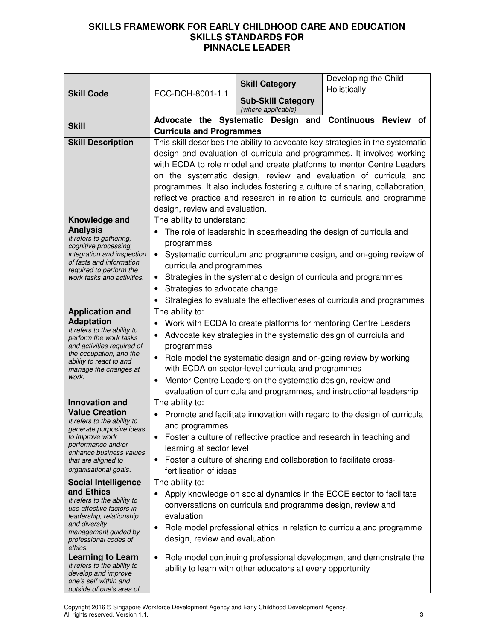|                                                         |                                                                                                                                                                                                                                                                                                                                                                                                                                                                                                  | <b>Skill Category</b>                                           | Developing the Child                                                     |  |
|---------------------------------------------------------|--------------------------------------------------------------------------------------------------------------------------------------------------------------------------------------------------------------------------------------------------------------------------------------------------------------------------------------------------------------------------------------------------------------------------------------------------------------------------------------------------|-----------------------------------------------------------------|--------------------------------------------------------------------------|--|
| <b>Skill Code</b>                                       | ECC-DCH-8001-1.1                                                                                                                                                                                                                                                                                                                                                                                                                                                                                 |                                                                 | Holistically                                                             |  |
|                                                         |                                                                                                                                                                                                                                                                                                                                                                                                                                                                                                  | <b>Sub-Skill Category</b><br>(where applicable)                 |                                                                          |  |
| <b>Skill</b>                                            |                                                                                                                                                                                                                                                                                                                                                                                                                                                                                                  |                                                                 | Advocate the Systematic Design and Continuous Review<br>οf               |  |
|                                                         | <b>Curricula and Programmes</b>                                                                                                                                                                                                                                                                                                                                                                                                                                                                  |                                                                 |                                                                          |  |
| <b>Skill Description</b>                                | This skill describes the ability to advocate key strategies in the systematic<br>design and evaluation of curricula and programmes. It involves working<br>with ECDA to role model and create platforms to mentor Centre Leaders<br>on the systematic design, review and evaluation of curricula and<br>programmes. It also includes fostering a culture of sharing, collaboration,<br>reflective practice and research in relation to curricula and programme<br>design, review and evaluation. |                                                                 |                                                                          |  |
| Knowledge and                                           | The ability to understand:                                                                                                                                                                                                                                                                                                                                                                                                                                                                       |                                                                 |                                                                          |  |
| <b>Analysis</b>                                         |                                                                                                                                                                                                                                                                                                                                                                                                                                                                                                  |                                                                 | The role of leadership in spearheading the design of curricula and       |  |
| It refers to gathering,<br>cognitive processing,        | programmes                                                                                                                                                                                                                                                                                                                                                                                                                                                                                       |                                                                 |                                                                          |  |
| integration and inspection                              | $\bullet$                                                                                                                                                                                                                                                                                                                                                                                                                                                                                        |                                                                 | Systematic curriculum and programme design, and on-going review of       |  |
| of facts and information<br>required to perform the     | curricula and programmes                                                                                                                                                                                                                                                                                                                                                                                                                                                                         |                                                                 |                                                                          |  |
| work tasks and activities.                              | $\bullet$                                                                                                                                                                                                                                                                                                                                                                                                                                                                                        | Strategies in the systematic design of curricula and programmes |                                                                          |  |
|                                                         | Strategies to advocate change<br>$\bullet$                                                                                                                                                                                                                                                                                                                                                                                                                                                       |                                                                 |                                                                          |  |
|                                                         |                                                                                                                                                                                                                                                                                                                                                                                                                                                                                                  |                                                                 | Strategies to evaluate the effectiveneses of curricula and programmes    |  |
| <b>Application and</b><br><b>Adaptation</b>             | The ability to:                                                                                                                                                                                                                                                                                                                                                                                                                                                                                  |                                                                 |                                                                          |  |
| It refers to the ability to                             | Work with ECDA to create platforms for mentoring Centre Leaders                                                                                                                                                                                                                                                                                                                                                                                                                                  |                                                                 |                                                                          |  |
| perform the work tasks<br>and activities required of    | Advocate key strategies in the systematic design of currciula and<br>programmes                                                                                                                                                                                                                                                                                                                                                                                                                  |                                                                 |                                                                          |  |
| the occupation, and the                                 | $\bullet$                                                                                                                                                                                                                                                                                                                                                                                                                                                                                        |                                                                 | Role model the systematic design and on-going review by working          |  |
| ability to react to and<br>manage the changes at        |                                                                                                                                                                                                                                                                                                                                                                                                                                                                                                  | with ECDA on sector-level curricula and programmes              |                                                                          |  |
| work.                                                   | $\bullet$                                                                                                                                                                                                                                                                                                                                                                                                                                                                                        | Mentor Centre Leaders on the systematic design, review and      |                                                                          |  |
|                                                         |                                                                                                                                                                                                                                                                                                                                                                                                                                                                                                  |                                                                 | evaluation of curricula and programmes, and instructional leadership     |  |
| <b>Innovation and</b>                                   | The ability to:                                                                                                                                                                                                                                                                                                                                                                                                                                                                                  |                                                                 |                                                                          |  |
| <b>Value Creation</b><br>It refers to the ability to    | $\bullet$                                                                                                                                                                                                                                                                                                                                                                                                                                                                                        |                                                                 | Promote and facilitate innovation with regard to the design of curricula |  |
| generate purposive ideas                                | and programmes                                                                                                                                                                                                                                                                                                                                                                                                                                                                                   |                                                                 |                                                                          |  |
| to improve work<br>performance and/or                   |                                                                                                                                                                                                                                                                                                                                                                                                                                                                                                  |                                                                 | Foster a culture of reflective practice and research in teaching and     |  |
| enhance business values<br>that are aligned to          | learning at sector level<br>Foster a culture of sharing and collaboration to facilitate cross-<br>$\bullet$                                                                                                                                                                                                                                                                                                                                                                                      |                                                                 |                                                                          |  |
| organisational goals.                                   | fertilisation of ideas                                                                                                                                                                                                                                                                                                                                                                                                                                                                           |                                                                 |                                                                          |  |
| <b>Social Intelligence</b>                              | The ability to:                                                                                                                                                                                                                                                                                                                                                                                                                                                                                  |                                                                 |                                                                          |  |
| and Ethics                                              |                                                                                                                                                                                                                                                                                                                                                                                                                                                                                                  |                                                                 | Apply knowledge on social dynamics in the ECCE sector to facilitate      |  |
| It refers to the ability to<br>use affective factors in |                                                                                                                                                                                                                                                                                                                                                                                                                                                                                                  | conversations on curricula and programme design, review and     |                                                                          |  |
| leadership, relationship                                | evaluation                                                                                                                                                                                                                                                                                                                                                                                                                                                                                       |                                                                 |                                                                          |  |
| and diversity<br>management guided by                   | $\bullet$                                                                                                                                                                                                                                                                                                                                                                                                                                                                                        |                                                                 | Role model professional ethics in relation to curricula and programme    |  |
| professional codes of                                   | design, review and evaluation                                                                                                                                                                                                                                                                                                                                                                                                                                                                    |                                                                 |                                                                          |  |
| ethics.<br><b>Learning to Learn</b>                     | $\bullet$                                                                                                                                                                                                                                                                                                                                                                                                                                                                                        |                                                                 | Role model continuing professional development and demonstrate the       |  |
| It refers to the ability to                             |                                                                                                                                                                                                                                                                                                                                                                                                                                                                                                  | ability to learn with other educators at every opportunity      |                                                                          |  |
| develop and improve<br>one's self within and            |                                                                                                                                                                                                                                                                                                                                                                                                                                                                                                  |                                                                 |                                                                          |  |
| outside of one's area of                                |                                                                                                                                                                                                                                                                                                                                                                                                                                                                                                  |                                                                 |                                                                          |  |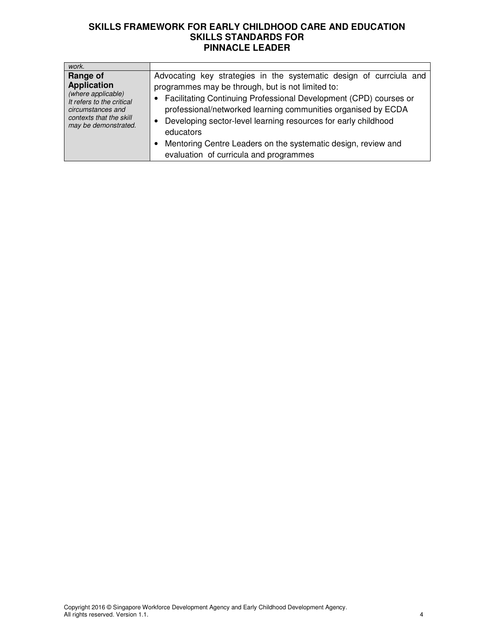| work.                                                                                                                                                     |                                                                                                                                                                                                                                                                                                                                                                                                                                                                       |
|-----------------------------------------------------------------------------------------------------------------------------------------------------------|-----------------------------------------------------------------------------------------------------------------------------------------------------------------------------------------------------------------------------------------------------------------------------------------------------------------------------------------------------------------------------------------------------------------------------------------------------------------------|
| Range of<br><b>Application</b><br>(where applicable)<br>It refers to the critical<br>circumstances and<br>contexts that the skill<br>may be demonstrated. | Advocating key strategies in the systematic design of currciula and<br>programmes may be through, but is not limited to:<br>Facilitating Continuing Professional Development (CPD) courses or<br>professional/networked learning communities organised by ECDA<br>Developing sector-level learning resources for early childhood<br>$\bullet$<br>educators<br>Mentoring Centre Leaders on the systematic design, review and<br>evaluation of curricula and programmes |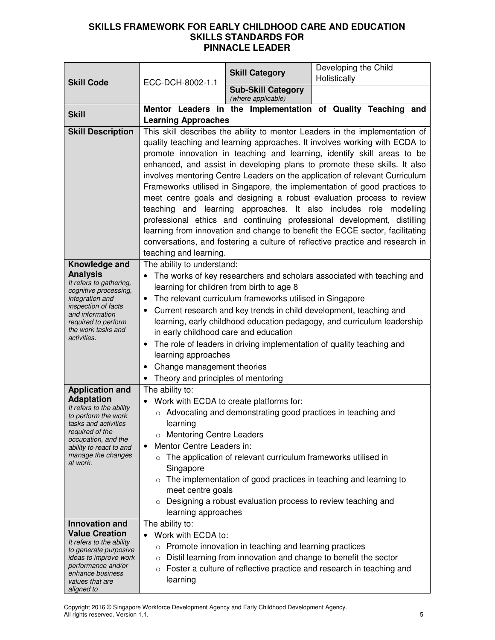|                                                                                                                                                                                                                               |                                                                                                                                                                                                                                                                                                                                                                                                                                                                                                                                                                                                                                                                                                                                                                                                                                                                                                   | <b>Skill Category</b>                                                                                                     | Developing the Child<br>Holistically                                 |
|-------------------------------------------------------------------------------------------------------------------------------------------------------------------------------------------------------------------------------|---------------------------------------------------------------------------------------------------------------------------------------------------------------------------------------------------------------------------------------------------------------------------------------------------------------------------------------------------------------------------------------------------------------------------------------------------------------------------------------------------------------------------------------------------------------------------------------------------------------------------------------------------------------------------------------------------------------------------------------------------------------------------------------------------------------------------------------------------------------------------------------------------|---------------------------------------------------------------------------------------------------------------------------|----------------------------------------------------------------------|
| <b>Skill Code</b>                                                                                                                                                                                                             | ECC-DCH-8002-1.1                                                                                                                                                                                                                                                                                                                                                                                                                                                                                                                                                                                                                                                                                                                                                                                                                                                                                  | <b>Sub-Skill Category</b>                                                                                                 |                                                                      |
|                                                                                                                                                                                                                               |                                                                                                                                                                                                                                                                                                                                                                                                                                                                                                                                                                                                                                                                                                                                                                                                                                                                                                   | (where applicable)                                                                                                        |                                                                      |
| <b>Skill</b>                                                                                                                                                                                                                  | <b>Learning Approaches</b>                                                                                                                                                                                                                                                                                                                                                                                                                                                                                                                                                                                                                                                                                                                                                                                                                                                                        |                                                                                                                           | Mentor Leaders in the <i>Implementation</i> of Quality Teaching and  |
| <b>Skill Description</b>                                                                                                                                                                                                      | This skill describes the ability to mentor Leaders in the implementation of<br>quality teaching and learning approaches. It involves working with ECDA to<br>promote innovation in teaching and learning, identify skill areas to be<br>enhanced, and assist in developing plans to promote these skills. It also<br>involves mentoring Centre Leaders on the application of relevant Curriculum<br>Frameworks utilised in Singapore, the implementation of good practices to<br>meet centre goals and designing a robust evaluation process to review<br>teaching and learning approaches. It also includes role modelling<br>professional ethics and continuing professional development, distilling<br>learning from innovation and change to benefit the ECCE sector, facilitating<br>conversations, and fostering a culture of reflective practice and research in<br>teaching and learning. |                                                                                                                           |                                                                      |
| Knowledge and<br><b>Analysis</b><br>It refers to gathering,<br>cognitive processing,<br>integration and<br>inspection of facts<br>and information<br>required to perform<br>the work tasks and<br>activities.                 | The ability to understand:<br>The works of key researchers and scholars associated with teaching and<br>learning for children from birth to age 8<br>The relevant curriculum frameworks utilised in Singapore<br>$\bullet$<br>Current research and key trends in child development, teaching and<br>$\bullet$<br>learning, early childhood education pedagogy, and curriculum leadership<br>in early childhood care and education<br>The role of leaders in driving implementation of quality teaching and<br>$\bullet$<br>learning approaches<br>Change management theories<br>$\bullet$<br>Theory and principles of mentoring                                                                                                                                                                                                                                                                   |                                                                                                                           |                                                                      |
| <b>Application and</b><br><b>Adaptation</b><br>It refers to the ability<br>to perform the work<br>tasks and activities<br>required of the<br>occupation, and the<br>ability to react to and<br>manage the changes<br>at work. | The ability to:<br>Work with ECDA to create platforms for:<br>○ Advocating and demonstrating good practices in teaching and<br>learning<br>o Mentoring Centre Leaders<br>Mentor Centre Leaders in:<br>The application of relevant curriculum frameworks utilised in<br>$\circ$<br>Singapore<br>The implementation of good practices in teaching and learning to<br>$\circ$<br>meet centre goals<br>Designing a robust evaluation process to review teaching and<br>$\circ$<br>learning approaches                                                                                                                                                                                                                                                                                                                                                                                                 |                                                                                                                           |                                                                      |
| <b>Innovation and</b><br><b>Value Creation</b><br>It refers to the ability<br>to generate purposive<br><i>ideas to improve work</i><br>performance and/or<br>enhance business<br>values that are<br>aligned to                | The ability to:<br>Work with ECDA to:<br>$\bullet$<br>$\circ$<br>$\circ$<br>learning                                                                                                                                                                                                                                                                                                                                                                                                                                                                                                                                                                                                                                                                                                                                                                                                              | Promote innovation in teaching and learning practices<br>Distil learning from innovation and change to benefit the sector | Foster a culture of reflective practice and research in teaching and |

Copyright 2016 © Singapore Workforce Development Agency and Early Childhood Development Agency. All rights reserved. Version 1.1. 5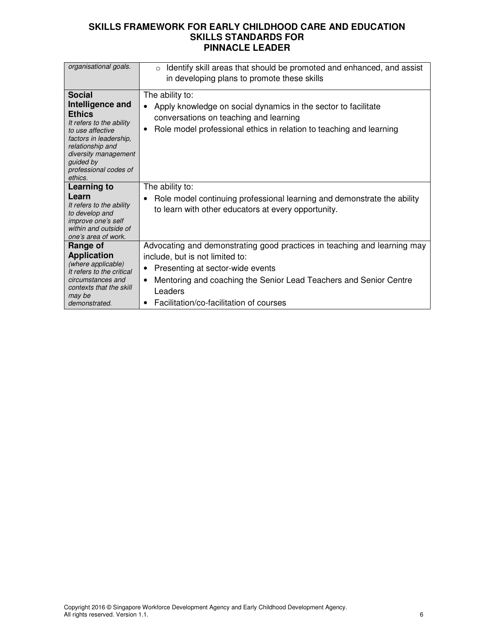| organisational goals.                                                                                                                                                                                                     | Identify skill areas that should be promoted and enhanced, and assist<br>$\circ$<br>in developing plans to promote these skills                                                                                                                                                                           |
|---------------------------------------------------------------------------------------------------------------------------------------------------------------------------------------------------------------------------|-----------------------------------------------------------------------------------------------------------------------------------------------------------------------------------------------------------------------------------------------------------------------------------------------------------|
| <b>Social</b><br>Intelligence and<br><b>Ethics</b><br>It refers to the ability<br>to use affective<br>factors in leadership.<br>relationship and<br>diversity management<br>quided by<br>professional codes of<br>ethics. | The ability to:<br>Apply knowledge on social dynamics in the sector to facilitate<br>$\bullet$<br>conversations on teaching and learning<br>Role model professional ethics in relation to teaching and learning<br>٠                                                                                      |
| <b>Learning to</b><br>Learn<br>It refers to the ability<br>to develop and<br><i>improve one's self</i><br>within and outside of<br>one's area of work.                                                                    | The ability to:<br>Role model continuing professional learning and demonstrate the ability<br>to learn with other educators at every opportunity.                                                                                                                                                         |
| Range of<br><b>Application</b><br>(where applicable)<br>It refers to the critical<br>circumstances and<br>contexts that the skill<br>may be<br>demonstrated.                                                              | Advocating and demonstrating good practices in teaching and learning may<br>include, but is not limited to:<br>Presenting at sector-wide events<br>٠<br>Mentoring and coaching the Senior Lead Teachers and Senior Centre<br>$\bullet$<br>Leaders<br>Facilitation/co-facilitation of courses<br>$\bullet$ |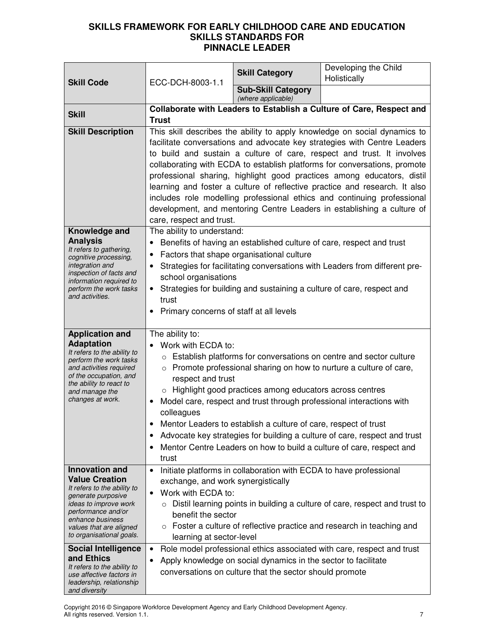|                                                                                                                                                                                                                                                             |                                                                                                                                                                                                                                                                                                                                                                                                                                                                                                                                                                                                                                                       | <b>Skill Category</b>                                                                                                      | Developing the Child<br>Holistically                                                                                                                                                                                                                                                                                                                                     |
|-------------------------------------------------------------------------------------------------------------------------------------------------------------------------------------------------------------------------------------------------------------|-------------------------------------------------------------------------------------------------------------------------------------------------------------------------------------------------------------------------------------------------------------------------------------------------------------------------------------------------------------------------------------------------------------------------------------------------------------------------------------------------------------------------------------------------------------------------------------------------------------------------------------------------------|----------------------------------------------------------------------------------------------------------------------------|--------------------------------------------------------------------------------------------------------------------------------------------------------------------------------------------------------------------------------------------------------------------------------------------------------------------------------------------------------------------------|
| <b>Skill Code</b>                                                                                                                                                                                                                                           | ECC-DCH-8003-1.1                                                                                                                                                                                                                                                                                                                                                                                                                                                                                                                                                                                                                                      | <b>Sub-Skill Category</b><br>(where applicable)                                                                            |                                                                                                                                                                                                                                                                                                                                                                          |
| <b>Skill</b>                                                                                                                                                                                                                                                | <b>Trust</b>                                                                                                                                                                                                                                                                                                                                                                                                                                                                                                                                                                                                                                          |                                                                                                                            | Collaborate with Leaders to Establish a Culture of Care, Respect and                                                                                                                                                                                                                                                                                                     |
| <b>Skill Description</b>                                                                                                                                                                                                                                    | This skill describes the ability to apply knowledge on social dynamics to<br>facilitate conversations and advocate key strategies with Centre Leaders<br>to build and sustain a culture of care, respect and trust. It involves<br>collaborating with ECDA to establish platforms for conversations, promote<br>professional sharing, highlight good practices among educators, distil<br>learning and foster a culture of reflective practice and research. It also<br>includes role modelling professional ethics and continuing professional<br>development, and mentoring Centre Leaders in establishing a culture of<br>care, respect and trust. |                                                                                                                            |                                                                                                                                                                                                                                                                                                                                                                          |
| Knowledge and<br><b>Analysis</b><br>It refers to gathering,<br>cognitive processing,<br>integration and<br>inspection of facts and<br>information required to<br>perform the work tasks<br>and activities.                                                  | The ability to understand:<br>Benefits of having an established culture of care, respect and trust<br>Factors that shape organisational culture<br>$\bullet$<br>Strategies for facilitating conversations with Leaders from different pre-<br>school organisations<br>Strategies for building and sustaining a culture of care, respect and<br>$\bullet$<br>trust<br>Primary concerns of staff at all levels                                                                                                                                                                                                                                          |                                                                                                                            |                                                                                                                                                                                                                                                                                                                                                                          |
| <b>Application and</b><br><b>Adaptation</b><br>It refers to the ability to<br>perform the work tasks<br>and activities required<br>of the occupation, and<br>the ability to react to<br>and manage the<br>changes at work.                                  | The ability to:<br>Work with ECDA to:<br>respect and trust<br>colleagues<br>trust                                                                                                                                                                                                                                                                                                                                                                                                                                                                                                                                                                     | Highlight good practices among educators across centres<br>Mentor Leaders to establish a culture of care, respect of trust | o Establish platforms for conversations on centre and sector culture<br>o Promote professional sharing on how to nurture a culture of care,<br>Model care, respect and trust through professional interactions with<br>Advocate key strategies for building a culture of care, respect and trust<br>Mentor Centre Leaders on how to build a culture of care, respect and |
| <b>Innovation and</b><br><b>Value Creation</b><br>It refers to the ability to<br>generate purposive<br>ideas to improve work<br>performance and/or<br>enhance business<br>values that are aligned<br>to organisational goals.<br><b>Social Intelligence</b> | $\bullet$<br>exchange, and work synergistically<br>Work with ECDA to:<br>$\bullet$<br>benefit the sector<br>learning at sector-level<br>$\bullet$                                                                                                                                                                                                                                                                                                                                                                                                                                                                                                     | Initiate platforms in collaboration with ECDA to have professional                                                         | $\circ$ Distil learning points in building a culture of care, respect and trust to<br>Foster a culture of reflective practice and research in teaching and<br>Role model professional ethics associated with care, respect and trust                                                                                                                                     |
| and Ethics<br>It refers to the ability to<br>use affective factors in<br>leadership, relationship<br>and diversity                                                                                                                                          |                                                                                                                                                                                                                                                                                                                                                                                                                                                                                                                                                                                                                                                       | Apply knowledge on social dynamics in the sector to facilitate<br>conversations on culture that the sector should promote  |                                                                                                                                                                                                                                                                                                                                                                          |

Copyright 2016 © Singapore Workforce Development Agency and Early Childhood Development Agency. All rights reserved. Version 1.1. 7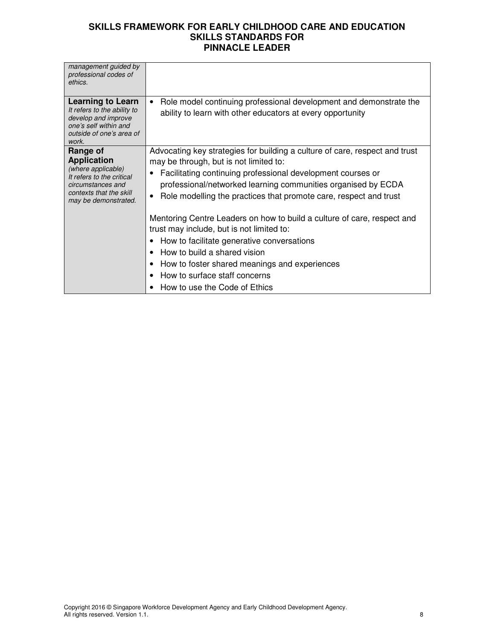| management guided by<br>professional codes of<br>ethics.                                                                                                  |                                                                                                                                                                                                                                                                                                                                         |
|-----------------------------------------------------------------------------------------------------------------------------------------------------------|-----------------------------------------------------------------------------------------------------------------------------------------------------------------------------------------------------------------------------------------------------------------------------------------------------------------------------------------|
| <b>Learning to Learn</b><br>It refers to the ability to<br>develop and improve<br>one's self within and<br>outside of one's area of<br>work.              | Role model continuing professional development and demonstrate the<br>ability to learn with other educators at every opportunity                                                                                                                                                                                                        |
| Range of<br><b>Application</b><br>(where applicable)<br>It refers to the critical<br>circumstances and<br>contexts that the skill<br>may be demonstrated. | Advocating key strategies for building a culture of care, respect and trust<br>may be through, but is not limited to:<br>Facilitating continuing professional development courses or<br>professional/networked learning communities organised by ECDA<br>Role modelling the practices that promote care, respect and trust<br>$\bullet$ |
|                                                                                                                                                           | Mentoring Centre Leaders on how to build a culture of care, respect and<br>trust may include, but is not limited to:<br>How to facilitate generative conversations<br>How to build a shared vision<br>$\bullet$<br>How to foster shared meanings and experiences<br>How to surface staff concerns<br>How to use the Code of Ethics      |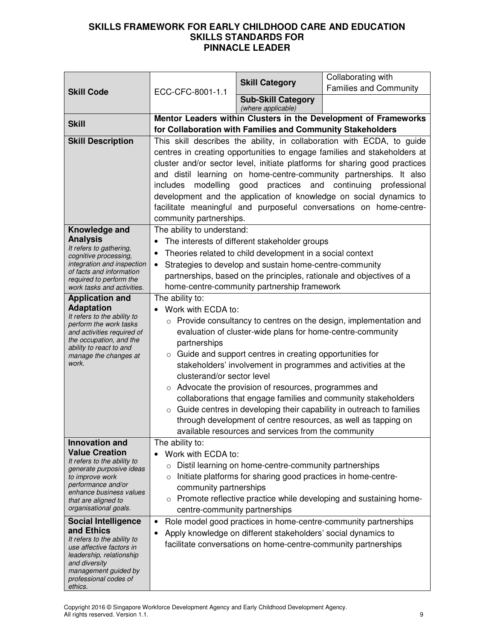|                                                         |                                                                                                                                               | <b>Skill Category</b>                                              | Collaborating with<br><b>Families and Community</b>                                                                                    |  |
|---------------------------------------------------------|-----------------------------------------------------------------------------------------------------------------------------------------------|--------------------------------------------------------------------|----------------------------------------------------------------------------------------------------------------------------------------|--|
| <b>Skill Code</b>                                       | ECC-CFC-8001-1.1                                                                                                                              | <b>Sub-Skill Category</b>                                          |                                                                                                                                        |  |
|                                                         |                                                                                                                                               | (where applicable)                                                 |                                                                                                                                        |  |
| <b>Skill</b>                                            |                                                                                                                                               |                                                                    | Mentor Leaders within Clusters in the Development of Frameworks                                                                        |  |
| <b>Skill Description</b>                                |                                                                                                                                               | for Collaboration with Families and Community Stakeholders         | This skill describes the ability, in collaboration with ECDA, to guide                                                                 |  |
|                                                         |                                                                                                                                               |                                                                    | centres in creating opportunities to engage families and stakeholders at                                                               |  |
|                                                         | cluster and/or sector level, initiate platforms for sharing good practices                                                                    |                                                                    |                                                                                                                                        |  |
|                                                         | and distil learning on home-centre-community partnerships. It also                                                                            |                                                                    |                                                                                                                                        |  |
|                                                         | includes                                                                                                                                      | practices and continuing<br>modelling good<br>professional         |                                                                                                                                        |  |
|                                                         |                                                                                                                                               | development and the application of knowledge on social dynamics to |                                                                                                                                        |  |
|                                                         |                                                                                                                                               |                                                                    | facilitate meaningful and purposeful conversations on home-centre-                                                                     |  |
|                                                         | community partnerships.                                                                                                                       |                                                                    |                                                                                                                                        |  |
| Knowledge and<br><b>Analysis</b>                        | The ability to understand:                                                                                                                    | The interests of different stakeholder groups                      |                                                                                                                                        |  |
| It refers to gathering,                                 | $\bullet$                                                                                                                                     | Theories related to child development in a social context          |                                                                                                                                        |  |
| cognitive processing,<br>integration and inspection     | $\bullet$                                                                                                                                     | Strategies to develop and sustain home-centre-community            |                                                                                                                                        |  |
| of facts and information                                |                                                                                                                                               |                                                                    | partnerships, based on the principles, rationale and objectives of a                                                                   |  |
| required to perform the<br>work tasks and activities.   |                                                                                                                                               | home-centre-community partnership framework                        |                                                                                                                                        |  |
| <b>Application and</b>                                  | The ability to:                                                                                                                               |                                                                    |                                                                                                                                        |  |
| <b>Adaptation</b><br>It refers to the ability to        | • Work with ECDA to:                                                                                                                          |                                                                    |                                                                                                                                        |  |
| perform the work tasks                                  | o Provide consultancy to centres on the design, implementation and                                                                            |                                                                    |                                                                                                                                        |  |
| and activities required of<br>the occupation, and the   | evaluation of cluster-wide plans for home-centre-community<br>partnerships<br>$\circ$ Guide and support centres in creating opportunities for |                                                                    |                                                                                                                                        |  |
| ability to react to and<br>manage the changes at        |                                                                                                                                               |                                                                    |                                                                                                                                        |  |
| work.                                                   |                                                                                                                                               | stakeholders' involvement in programmes and activities at the      |                                                                                                                                        |  |
|                                                         | clusterand/or sector level                                                                                                                    |                                                                    |                                                                                                                                        |  |
|                                                         |                                                                                                                                               | o Advocate the provision of resources, programmes and              |                                                                                                                                        |  |
|                                                         |                                                                                                                                               |                                                                    | collaborations that engage families and community stakeholders                                                                         |  |
|                                                         | $\circ$                                                                                                                                       |                                                                    | Guide centres in developing their capability in outreach to families<br>through development of centre resources, as well as tapping on |  |
|                                                         |                                                                                                                                               | available resources and services from the community                |                                                                                                                                        |  |
| Innovation and                                          | The ability to:                                                                                                                               |                                                                    |                                                                                                                                        |  |
| <b>Value Creation</b>                                   | Work with ECDA to:                                                                                                                            |                                                                    |                                                                                                                                        |  |
| It refers to the ability to<br>generate purposive ideas | $\circ$                                                                                                                                       | Distil learning on home-centre-community partnerships              |                                                                                                                                        |  |
| to improve work<br>performance and/or                   | $\circ$                                                                                                                                       | Initiate platforms for sharing good practices in home-centre-      |                                                                                                                                        |  |
| enhance business values                                 | community partnerships                                                                                                                        |                                                                    |                                                                                                                                        |  |
| that are aligned to<br>organisational goals.            | $\circ$<br>centre-community partnerships                                                                                                      |                                                                    | Promote reflective practice while developing and sustaining home-                                                                      |  |
| <b>Social Intelligence</b>                              | $\bullet$                                                                                                                                     |                                                                    | Role model good practices in home-centre-community partnerships                                                                        |  |
| and Ethics                                              |                                                                                                                                               | Apply knowledge on different stakeholders' social dynamics to      |                                                                                                                                        |  |
| It refers to the ability to<br>use affective factors in |                                                                                                                                               | facilitate conversations on home-centre-community partnerships     |                                                                                                                                        |  |
| leadership, relationship                                |                                                                                                                                               |                                                                    |                                                                                                                                        |  |
| and diversity<br>management guided by                   |                                                                                                                                               |                                                                    |                                                                                                                                        |  |
| professional codes of<br>ethics.                        |                                                                                                                                               |                                                                    |                                                                                                                                        |  |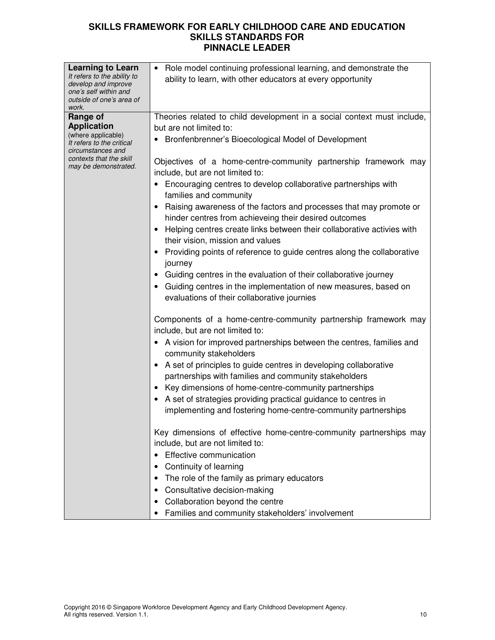| <b>Learning to Learn</b>                           | Role model continuing professional learning, and demonstrate the<br>$\bullet$                    |
|----------------------------------------------------|--------------------------------------------------------------------------------------------------|
| It refers to the ability to<br>develop and improve | ability to learn, with other educators at every opportunity                                      |
| one's self within and                              |                                                                                                  |
| outside of one's area of                           |                                                                                                  |
| work.<br>Range of                                  | Theories related to child development in a social context must include,                          |
| <b>Application</b>                                 | but are not limited to:                                                                          |
| (where applicable)                                 | Bronfenbrenner's Bioecological Model of Development                                              |
| It refers to the critical<br>circumstances and     |                                                                                                  |
| contexts that the skill                            | Objectives of a home-centre-community partnership framework may                                  |
| may be demonstrated.                               | include, but are not limited to:                                                                 |
|                                                    | • Encouraging centres to develop collaborative partnerships with                                 |
|                                                    | families and community                                                                           |
|                                                    | Raising awareness of the factors and processes that may promote or                               |
|                                                    | hinder centres from achieveing their desired outcomes                                            |
|                                                    | Helping centres create links between their collaborative activies with                           |
|                                                    | their vision, mission and values                                                                 |
|                                                    | • Providing points of reference to guide centres along the collaborative                         |
|                                                    | journey                                                                                          |
|                                                    | Guiding centres in the evaluation of their collaborative journey                                 |
|                                                    | Guiding centres in the implementation of new measures, based on                                  |
|                                                    | evaluations of their collaborative journies                                                      |
|                                                    |                                                                                                  |
|                                                    | Components of a home-centre-community partnership framework may                                  |
|                                                    | include, but are not limited to:                                                                 |
|                                                    | • A vision for improved partnerships between the centres, families and<br>community stakeholders |
|                                                    | A set of principles to guide centres in developing collaborative                                 |
|                                                    | partnerships with families and community stakeholders                                            |
|                                                    | Key dimensions of home-centre-community partnerships                                             |
|                                                    | • A set of strategies providing practical guidance to centres in                                 |
|                                                    | implementing and fostering home-centre-community partnerships                                    |
|                                                    |                                                                                                  |
|                                                    | Key dimensions of effective home-centre-community partnerships may                               |
|                                                    | include, but are not limited to:                                                                 |
|                                                    | Effective communication                                                                          |
|                                                    | Continuity of learning                                                                           |
|                                                    | The role of the family as primary educators                                                      |
|                                                    | Consultative decision-making                                                                     |
|                                                    | Collaboration beyond the centre                                                                  |
|                                                    | Families and community stakeholders' involvement<br>٠                                            |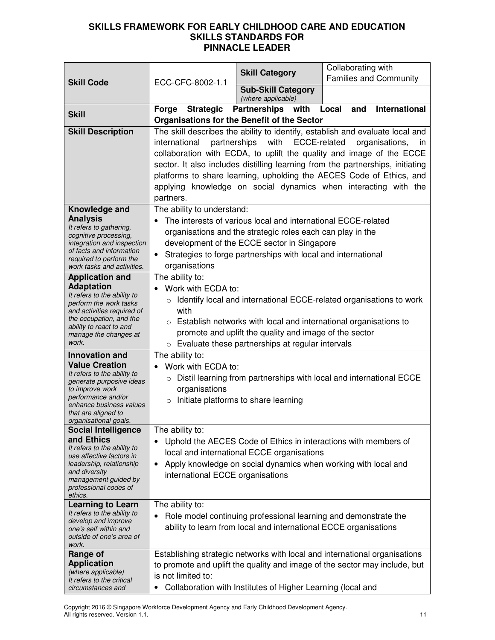|                                                                                                                                                                                                                            |                                     | <b>Skill Category</b>                                                                                              | Collaborating with                                                                                                                                                                                                                                                                                                         |
|----------------------------------------------------------------------------------------------------------------------------------------------------------------------------------------------------------------------------|-------------------------------------|--------------------------------------------------------------------------------------------------------------------|----------------------------------------------------------------------------------------------------------------------------------------------------------------------------------------------------------------------------------------------------------------------------------------------------------------------------|
| <b>Skill Code</b>                                                                                                                                                                                                          | ECC-CFC-8002-1.1                    | <b>Sub-Skill Category</b>                                                                                          | <b>Families and Community</b>                                                                                                                                                                                                                                                                                              |
|                                                                                                                                                                                                                            |                                     | (where applicable)                                                                                                 |                                                                                                                                                                                                                                                                                                                            |
| <b>Skill</b>                                                                                                                                                                                                               | Forge Strategic                     | <b>Partnerships</b> with                                                                                           | <b>International</b><br>Local<br>and                                                                                                                                                                                                                                                                                       |
| <b>Skill Description</b>                                                                                                                                                                                                   |                                     | <b>Organisations for the Benefit of the Sector</b>                                                                 | The skill describes the ability to identify, establish and evaluate local and                                                                                                                                                                                                                                              |
|                                                                                                                                                                                                                            | international<br>partners.          | with<br>ECCE-related<br>partnerships                                                                               | organisations,<br>in.<br>collaboration with ECDA, to uplift the quality and image of the ECCE<br>sector. It also includes distilling learning from the partnerships, initiating<br>platforms to share learning, upholding the AECES Code of Ethics, and<br>applying knowledge on social dynamics when interacting with the |
| Knowledge and<br><b>Analysis</b>                                                                                                                                                                                           | The ability to understand:          | The interests of various local and international ECCE-related                                                      |                                                                                                                                                                                                                                                                                                                            |
| It refers to gathering,                                                                                                                                                                                                    |                                     | organisations and the strategic roles each can play in the                                                         |                                                                                                                                                                                                                                                                                                                            |
| cognitive processing,<br>integration and inspection                                                                                                                                                                        |                                     | development of the ECCE sector in Singapore                                                                        |                                                                                                                                                                                                                                                                                                                            |
| of facts and information<br>required to perform the                                                                                                                                                                        | $\bullet$                           | Strategies to forge partnerships with local and international                                                      |                                                                                                                                                                                                                                                                                                                            |
| work tasks and activities.                                                                                                                                                                                                 | organisations<br>The ability to:    |                                                                                                                    |                                                                                                                                                                                                                                                                                                                            |
| <b>Application and</b><br><b>Adaptation</b><br>It refers to the ability to<br>perform the work tasks<br>and activities required of<br>the occupation, and the<br>ability to react to and<br>manage the changes at<br>work. | Work with ECDA to:<br>with          | promote and uplift the quality and image of the sector<br>$\circ$ Evaluate these partnerships at regular intervals | Identify local and international ECCE-related organisations to work<br>$\circ$ Establish networks with local and international organisations to                                                                                                                                                                            |
| <b>Innovation and</b>                                                                                                                                                                                                      | The ability to:                     |                                                                                                                    |                                                                                                                                                                                                                                                                                                                            |
| <b>Value Creation</b><br>It refers to the ability to<br>generate purposive ideas<br>to improve work<br>performance and/or<br>enhance business values<br>that are aligned to<br>organisational goals.                       | Work with ECDA to:<br>organisations | Initiate platforms to share learning                                                                               | o Distil learning from partnerships with local and international ECCE                                                                                                                                                                                                                                                      |
| <b>Social Intelligence</b>                                                                                                                                                                                                 | The ability to:                     |                                                                                                                    |                                                                                                                                                                                                                                                                                                                            |
| and Ethics<br>It refers to the ability to<br>use affective factors in<br>leadership, relationship<br>and diversity<br>management guided by<br>professional codes of<br>ethics.                                             | international ECCE organisations    | local and international ECCE organisations                                                                         | Uphold the AECES Code of Ethics in interactions with members of<br>Apply knowledge on social dynamics when working with local and                                                                                                                                                                                          |
| <b>Learning to Learn</b>                                                                                                                                                                                                   | The ability to:                     |                                                                                                                    |                                                                                                                                                                                                                                                                                                                            |
| It refers to the ability to<br>develop and improve<br>one's self within and<br>outside of one's area of<br>work.                                                                                                           |                                     | ability to learn from local and international ECCE organisations                                                   | Role model continuing professional learning and demonstrate the                                                                                                                                                                                                                                                            |
| Range of                                                                                                                                                                                                                   |                                     |                                                                                                                    | Establishing strategic networks with local and international organisations                                                                                                                                                                                                                                                 |
| <b>Application</b><br>(where applicable)<br>It refers to the critical<br>circumstances and                                                                                                                                 | is not limited to:<br>٠             | Collaboration with Institutes of Higher Learning (local and                                                        | to promote and uplift the quality and image of the sector may include, but                                                                                                                                                                                                                                                 |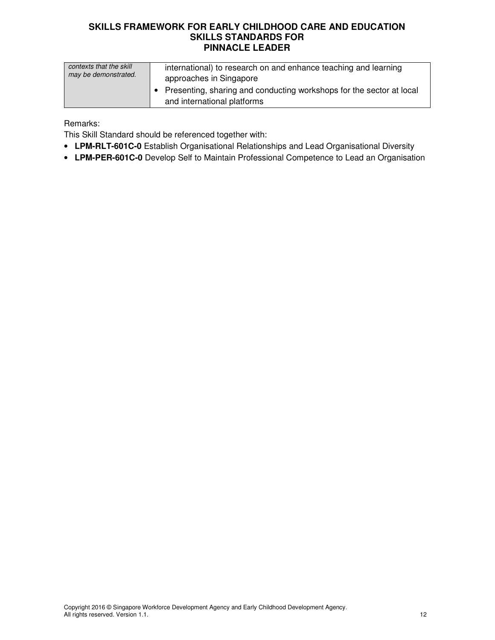| contexts that the skill | international) to research on and enhance teaching and learning                                       |
|-------------------------|-------------------------------------------------------------------------------------------------------|
| may be demonstrated.    | approaches in Singapore                                                                               |
|                         | • Presenting, sharing and conducting workshops for the sector at local<br>and international platforms |

Remarks:

This Skill Standard should be referenced together with:

- **LPM-RLT-601C-0** Establish Organisational Relationships and Lead Organisational Diversity
- **LPM-PER-601C-0** Develop Self to Maintain Professional Competence to Lead an Organisation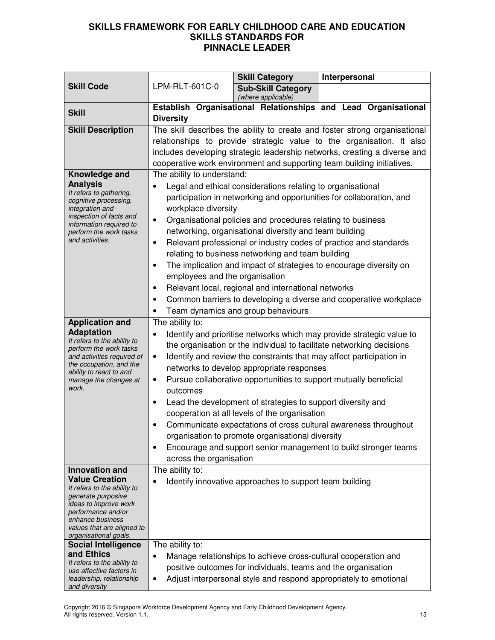|                                                       |                                                                                            | <b>Skill Category</b>                                                                                                           | Interpersonal                                                              |  |
|-------------------------------------------------------|--------------------------------------------------------------------------------------------|---------------------------------------------------------------------------------------------------------------------------------|----------------------------------------------------------------------------|--|
| <b>Skill Code</b>                                     | LPM-RLT-601C-0                                                                             | <b>Sub-Skill Category</b><br>(where applicable)                                                                                 |                                                                            |  |
| <b>Skill</b>                                          |                                                                                            |                                                                                                                                 | Establish Organisational Relationships and Lead Organisational             |  |
| <b>Skill Description</b>                              | <b>Diversity</b>                                                                           |                                                                                                                                 | The skill describes the ability to create and foster strong organisational |  |
|                                                       |                                                                                            |                                                                                                                                 | relationships to provide strategic value to the organisation. It also      |  |
|                                                       |                                                                                            |                                                                                                                                 | includes developing strategic leadership networks, creating a diverse and  |  |
|                                                       |                                                                                            |                                                                                                                                 | cooperative work environment and supporting team building initiatives.     |  |
| Knowledge and                                         | The ability to understand:                                                                 |                                                                                                                                 |                                                                            |  |
| <b>Analysis</b><br>It refers to gathering,            |                                                                                            | Legal and ethical considerations relating to organisational                                                                     |                                                                            |  |
| cognitive processing,                                 | participation in networking and opportunities for collaboration, and                       |                                                                                                                                 |                                                                            |  |
| integration and<br>inspection of facts and            | workplace diversity                                                                        |                                                                                                                                 |                                                                            |  |
| information required to                               | $\bullet$                                                                                  | Organisational policies and procedures relating to business<br>networking, organisational diversity and team building           |                                                                            |  |
| perform the work tasks<br>and activities.             | $\bullet$                                                                                  |                                                                                                                                 | Relevant professional or industry codes of practice and standards          |  |
|                                                       |                                                                                            | relating to business networking and team building                                                                               |                                                                            |  |
|                                                       | $\bullet$                                                                                  |                                                                                                                                 | The implication and impact of strategies to encourage diversity on         |  |
|                                                       | employees and the organisation                                                             |                                                                                                                                 |                                                                            |  |
|                                                       | $\bullet$                                                                                  | Relevant local, regional and international networks                                                                             |                                                                            |  |
|                                                       | $\bullet$                                                                                  |                                                                                                                                 | Common barriers to developing a diverse and cooperative workplace          |  |
|                                                       |                                                                                            | Team dynamics and group behaviours                                                                                              |                                                                            |  |
| <b>Application and</b>                                | The ability to:                                                                            |                                                                                                                                 |                                                                            |  |
| <b>Adaptation</b><br>It refers to the ability to      | $\bullet$                                                                                  |                                                                                                                                 | Identify and prioritise networks which may provide strategic value to      |  |
| perform the work tasks                                | the organisation or the individual to facilitate networking decisions                      |                                                                                                                                 |                                                                            |  |
| and activities required of<br>the occupation, and the | Identify and review the constraints that may affect participation in<br>$\bullet$          |                                                                                                                                 |                                                                            |  |
| ability to react to and<br>manage the changes at      | networks to develop appropriate responses                                                  |                                                                                                                                 |                                                                            |  |
| work.                                                 | Pursue collaborative opportunities to support mutually beneficial<br>$\bullet$<br>outcomes |                                                                                                                                 |                                                                            |  |
|                                                       | Lead the development of strategies to support diversity and<br>$\bullet$                   |                                                                                                                                 |                                                                            |  |
|                                                       | cooperation at all levels of the organisation                                              |                                                                                                                                 |                                                                            |  |
|                                                       | $\bullet$                                                                                  |                                                                                                                                 | Communicate expectations of cross cultural awareness throughout            |  |
|                                                       |                                                                                            | organisation to promote organisational diversity                                                                                |                                                                            |  |
|                                                       | $\bullet$                                                                                  |                                                                                                                                 | Encourage and support senior management to build stronger teams            |  |
|                                                       | across the organisation                                                                    |                                                                                                                                 |                                                                            |  |
| Innovation and<br><b>Value Creation</b>               | The ability to:                                                                            |                                                                                                                                 |                                                                            |  |
| It refers to the ability to                           |                                                                                            | Identify innovative approaches to support team building                                                                         |                                                                            |  |
| generate purposive<br>ideas to improve work           |                                                                                            |                                                                                                                                 |                                                                            |  |
| performance and/or                                    |                                                                                            |                                                                                                                                 |                                                                            |  |
| enhance business<br>values that are aligned to        |                                                                                            |                                                                                                                                 |                                                                            |  |
| organisational goals.                                 |                                                                                            |                                                                                                                                 |                                                                            |  |
| <b>Social Intelligence</b><br>and Ethics              | The ability to:                                                                            |                                                                                                                                 |                                                                            |  |
| It refers to the ability to                           | ٠                                                                                          | Manage relationships to achieve cross-cultural cooperation and<br>positive outcomes for individuals, teams and the organisation |                                                                            |  |
| use affective factors in<br>leadership, relationship  | ٠                                                                                          |                                                                                                                                 | Adjust interpersonal style and respond appropriately to emotional          |  |
| and diversity                                         |                                                                                            |                                                                                                                                 |                                                                            |  |

Copyright 2016 © Singapore Workforce Development Agency and Early Childhood Development Agency. All rights reserved. Version 1.1. 13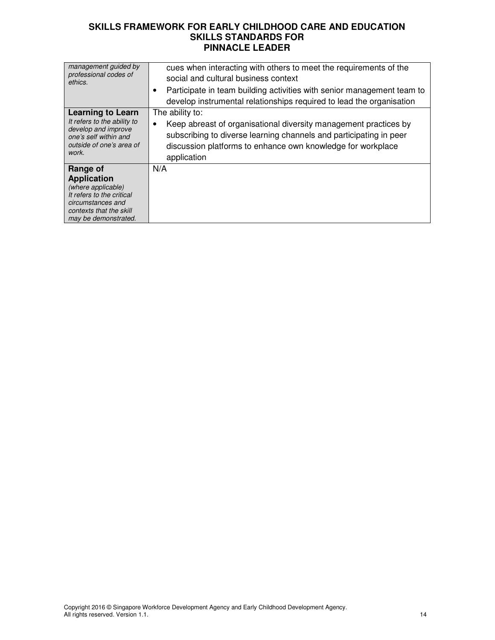| management guided by<br>professional codes of<br>ethics.                                                         | cues when interacting with others to meet the requirements of the<br>social and cultural business context                                                                                                                 |
|------------------------------------------------------------------------------------------------------------------|---------------------------------------------------------------------------------------------------------------------------------------------------------------------------------------------------------------------------|
|                                                                                                                  | Participate in team building activities with senior management team to<br>٠                                                                                                                                               |
|                                                                                                                  | develop instrumental relationships required to lead the organisation                                                                                                                                                      |
| <b>Learning to Learn</b>                                                                                         | The ability to:                                                                                                                                                                                                           |
| It refers to the ability to<br>develop and improve<br>one's self within and<br>outside of one's area of<br>work. | Keep abreast of organisational diversity management practices by<br>٠<br>subscribing to diverse learning channels and participating in peer<br>discussion platforms to enhance own knowledge for workplace<br>application |
| Range of                                                                                                         | N/A                                                                                                                                                                                                                       |
| <b>Application</b>                                                                                               |                                                                                                                                                                                                                           |
| (where applicable)                                                                                               |                                                                                                                                                                                                                           |
| It refers to the critical<br>circumstances and                                                                   |                                                                                                                                                                                                                           |
| contexts that the skill                                                                                          |                                                                                                                                                                                                                           |
| may be demonstrated.                                                                                             |                                                                                                                                                                                                                           |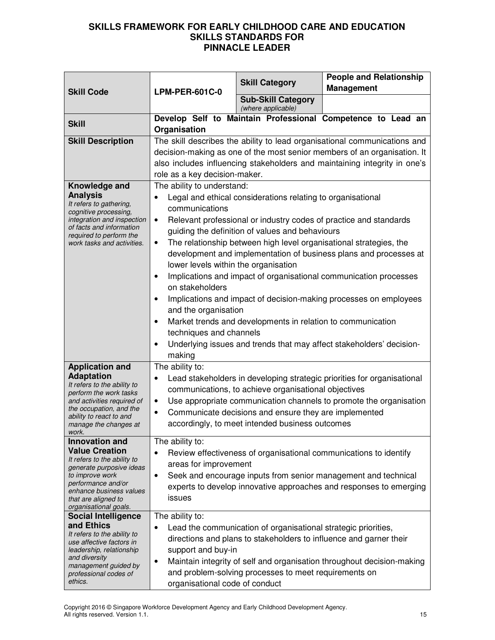|                                                                                                                                           |                                                                    | <b>Skill Category</b>                                          | <b>People and Relationship</b>                                            |  |  |
|-------------------------------------------------------------------------------------------------------------------------------------------|--------------------------------------------------------------------|----------------------------------------------------------------|---------------------------------------------------------------------------|--|--|
| <b>Skill Code</b>                                                                                                                         | <b>LPM-PER-601C-0</b>                                              |                                                                | <b>Management</b>                                                         |  |  |
|                                                                                                                                           |                                                                    | <b>Sub-Skill Category</b><br>(where applicable)                |                                                                           |  |  |
| <b>Skill</b>                                                                                                                              |                                                                    |                                                                | Develop Self to Maintain Professional Competence to Lead an               |  |  |
|                                                                                                                                           | Organisation                                                       |                                                                |                                                                           |  |  |
| <b>Skill Description</b>                                                                                                                  |                                                                    |                                                                | The skill describes the ability to lead organisational communications and |  |  |
|                                                                                                                                           |                                                                    |                                                                | decision-making as one of the most senior members of an organisation. It  |  |  |
|                                                                                                                                           |                                                                    |                                                                | also includes influencing stakeholders and maintaining integrity in one's |  |  |
|                                                                                                                                           | role as a key decision-maker.                                      |                                                                |                                                                           |  |  |
| Knowledge and<br><b>Analysis</b>                                                                                                          | The ability to understand:                                         |                                                                |                                                                           |  |  |
| It refers to gathering,                                                                                                                   | communications                                                     | Legal and ethical considerations relating to organisational    |                                                                           |  |  |
| cognitive processing,<br>integration and inspection                                                                                       | $\bullet$                                                          |                                                                | Relevant professional or industry codes of practice and standards         |  |  |
| of facts and information                                                                                                                  |                                                                    | guiding the definition of values and behaviours                |                                                                           |  |  |
| required to perform the<br>work tasks and activities.                                                                                     | ٠                                                                  |                                                                | The relationship between high level organisational strategies, the        |  |  |
|                                                                                                                                           |                                                                    |                                                                | development and implementation of business plans and processes at         |  |  |
|                                                                                                                                           | lower levels within the organisation                               |                                                                |                                                                           |  |  |
|                                                                                                                                           |                                                                    |                                                                | Implications and impact of organisational communication processes         |  |  |
|                                                                                                                                           | on stakeholders                                                    |                                                                |                                                                           |  |  |
|                                                                                                                                           | Implications and impact of decision-making processes on employees  |                                                                |                                                                           |  |  |
|                                                                                                                                           | and the organisation                                               |                                                                |                                                                           |  |  |
|                                                                                                                                           |                                                                    | Market trends and developments in relation to communication    |                                                                           |  |  |
|                                                                                                                                           | techniques and channels                                            |                                                                |                                                                           |  |  |
|                                                                                                                                           |                                                                    |                                                                | Underlying issues and trends that may affect stakeholders' decision-      |  |  |
|                                                                                                                                           | making                                                             |                                                                |                                                                           |  |  |
| <b>Application and</b>                                                                                                                    | The ability to:                                                    |                                                                |                                                                           |  |  |
| <b>Adaptation</b>                                                                                                                         | $\bullet$                                                          |                                                                | Lead stakeholders in developing strategic priorities for organisational   |  |  |
| It refers to the ability to<br>perform the work tasks                                                                                     |                                                                    | communications, to achieve organisational objectives           |                                                                           |  |  |
| and activities required of                                                                                                                | ٠                                                                  |                                                                | Use appropriate communication channels to promote the organisation        |  |  |
| the occupation, and the<br>ability to react to and                                                                                        | ٠                                                                  | Communicate decisions and ensure they are implemented          |                                                                           |  |  |
| manage the changes at                                                                                                                     | accordingly, to meet intended business outcomes                    |                                                                |                                                                           |  |  |
| work.<br>Innovation and                                                                                                                   | The ability to:                                                    |                                                                |                                                                           |  |  |
| <b>Value Creation</b>                                                                                                                     | Review effectiveness of organisational communications to identify  |                                                                |                                                                           |  |  |
| It refers to the ability to                                                                                                               | areas for improvement                                              |                                                                |                                                                           |  |  |
| generate purposive ideas<br>to improve work                                                                                               | $\bullet$                                                          |                                                                | Seek and encourage inputs from senior management and technical            |  |  |
| performance and/or                                                                                                                        |                                                                    |                                                                | experts to develop innovative approaches and responses to emerging        |  |  |
| enhance business values<br>that are aligned to                                                                                            | issues                                                             |                                                                |                                                                           |  |  |
| organisational goals.                                                                                                                     |                                                                    |                                                                |                                                                           |  |  |
| <b>Social Intelligence</b><br>and Ethics                                                                                                  | The ability to:                                                    |                                                                |                                                                           |  |  |
| It refers to the ability to                                                                                                               | $\bullet$                                                          | Lead the communication of organisational strategic priorities, |                                                                           |  |  |
| use affective factors in                                                                                                                  | directions and plans to stakeholders to influence and garner their |                                                                |                                                                           |  |  |
| support and buy-in<br>leadership, relationship<br>and diversity<br>Maintain integrity of self and organisation throughout decision-making |                                                                    |                                                                |                                                                           |  |  |
| management guided by                                                                                                                      | ٠                                                                  |                                                                |                                                                           |  |  |
| professional codes of<br>ethics.                                                                                                          |                                                                    | and problem-solving processes to meet requirements on          |                                                                           |  |  |
|                                                                                                                                           | organisational code of conduct                                     |                                                                |                                                                           |  |  |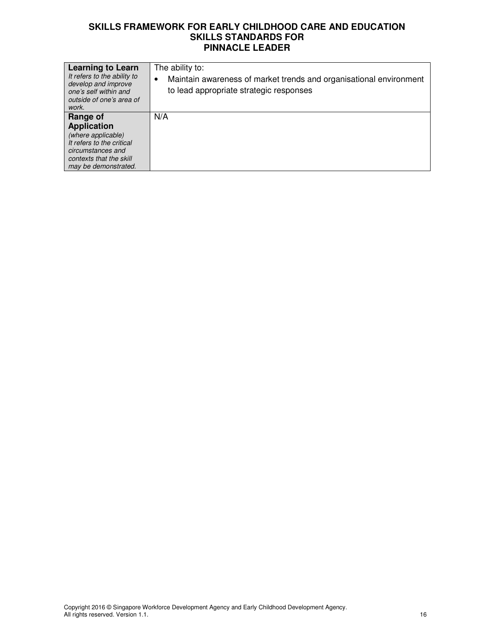| <b>Learning to Learn</b><br>It refers to the ability to<br>develop and improve<br>one's self within and<br>outside of one's area of<br>work. | The ability to:<br>Maintain awareness of market trends and organisational environment<br>to lead appropriate strategic responses |
|----------------------------------------------------------------------------------------------------------------------------------------------|----------------------------------------------------------------------------------------------------------------------------------|
| Range of                                                                                                                                     | N/A                                                                                                                              |
| <b>Application</b>                                                                                                                           |                                                                                                                                  |
| (where applicable)                                                                                                                           |                                                                                                                                  |
| It refers to the critical                                                                                                                    |                                                                                                                                  |
| circumstances and                                                                                                                            |                                                                                                                                  |
| contexts that the skill                                                                                                                      |                                                                                                                                  |
| may be demonstrated.                                                                                                                         |                                                                                                                                  |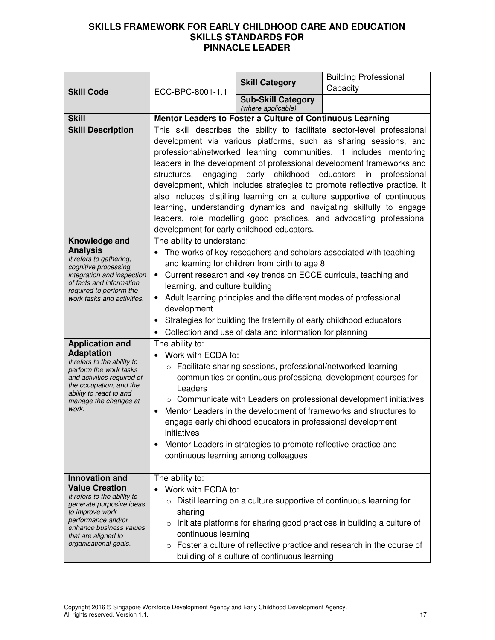|                                                                                          |                                                                                  | <b>Skill Category</b>                                                           | <b>Building Professional</b><br>Capacity                                                                                                   |  |  |
|------------------------------------------------------------------------------------------|----------------------------------------------------------------------------------|---------------------------------------------------------------------------------|--------------------------------------------------------------------------------------------------------------------------------------------|--|--|
| <b>Skill Code</b>                                                                        | ECC-BPC-8001-1.1                                                                 | <b>Sub-Skill Category</b>                                                       |                                                                                                                                            |  |  |
| <b>Skill</b>                                                                             |                                                                                  | (where applicable)<br>Mentor Leaders to Foster a Culture of Continuous Learning |                                                                                                                                            |  |  |
| <b>Skill Description</b>                                                                 |                                                                                  |                                                                                 | This skill describes the ability to facilitate sector-level professional                                                                   |  |  |
|                                                                                          |                                                                                  |                                                                                 | development via various platforms, such as sharing sessions, and                                                                           |  |  |
|                                                                                          |                                                                                  |                                                                                 | professional/networked learning communities. It includes mentoring                                                                         |  |  |
|                                                                                          |                                                                                  |                                                                                 | leaders in the development of professional development frameworks and                                                                      |  |  |
|                                                                                          |                                                                                  | structures, engaging early childhood educators                                  | in professional                                                                                                                            |  |  |
|                                                                                          |                                                                                  |                                                                                 | development, which includes strategies to promote reflective practice. It                                                                  |  |  |
|                                                                                          |                                                                                  |                                                                                 | also includes distilling learning on a culture supportive of continuous                                                                    |  |  |
|                                                                                          |                                                                                  |                                                                                 | learning, understanding dynamics and navigating skilfully to engage<br>leaders, role modelling good practices, and advocating professional |  |  |
|                                                                                          | development for early childhood educators.                                       |                                                                                 |                                                                                                                                            |  |  |
| Knowledge and                                                                            | The ability to understand:                                                       |                                                                                 |                                                                                                                                            |  |  |
| <b>Analysis</b>                                                                          |                                                                                  |                                                                                 | The works of key reseachers and scholars associated with teaching                                                                          |  |  |
| It refers to gathering,<br>cognitive processing,                                         |                                                                                  | and learning for children from birth to age 8                                   |                                                                                                                                            |  |  |
| integration and inspection<br>of facts and information                                   |                                                                                  |                                                                                 | Current research and key trends on ECCE curricula, teaching and                                                                            |  |  |
| required to perform the                                                                  | learning, and culture building                                                   |                                                                                 |                                                                                                                                            |  |  |
| work tasks and activities.                                                               | Adult learning principles and the different modes of professional<br>development |                                                                                 |                                                                                                                                            |  |  |
|                                                                                          | Strategies for building the fraternity of early childhood educators<br>$\bullet$ |                                                                                 |                                                                                                                                            |  |  |
|                                                                                          |                                                                                  | Collection and use of data and information for planning                         |                                                                                                                                            |  |  |
| <b>Application and</b>                                                                   | The ability to:                                                                  |                                                                                 |                                                                                                                                            |  |  |
| <b>Adaptation</b><br>It refers to the ability to                                         | Work with ECDA to:                                                               |                                                                                 |                                                                                                                                            |  |  |
| o Facilitate sharing sessions, professional/networked learning<br>perform the work tasks |                                                                                  |                                                                                 |                                                                                                                                            |  |  |
| and activities required of<br>the occupation, and the                                    |                                                                                  |                                                                                 | communities or continuous professional development courses for                                                                             |  |  |
| ability to react to and                                                                  | Leaders                                                                          |                                                                                 | ○ Communicate with Leaders on professional development initiatives                                                                         |  |  |
| manage the changes at<br>work.                                                           |                                                                                  |                                                                                 | Mentor Leaders in the development of frameworks and structures to                                                                          |  |  |
|                                                                                          |                                                                                  | engage early childhood educators in professional development                    |                                                                                                                                            |  |  |
|                                                                                          | initiatives                                                                      |                                                                                 |                                                                                                                                            |  |  |
|                                                                                          | ٠                                                                                | Mentor Leaders in strategies to promote reflective practice and                 |                                                                                                                                            |  |  |
|                                                                                          |                                                                                  | continuous learning among colleagues                                            |                                                                                                                                            |  |  |
| <b>Innovation and</b>                                                                    | The ability to:                                                                  |                                                                                 |                                                                                                                                            |  |  |
| <b>Value Creation</b>                                                                    | Work with ECDA to:                                                               |                                                                                 |                                                                                                                                            |  |  |
| It refers to the ability to<br>generate purposive ideas                                  |                                                                                  |                                                                                 | $\circ$ Distil learning on a culture supportive of continuous learning for                                                                 |  |  |
| to improve work                                                                          | sharing                                                                          |                                                                                 |                                                                                                                                            |  |  |
| performance and/or<br>enhance business values                                            | $\circ$                                                                          |                                                                                 | Initiate platforms for sharing good practices in building a culture of                                                                     |  |  |
| that are aligned to<br>organisational goals.                                             | continuous learning                                                              |                                                                                 |                                                                                                                                            |  |  |
|                                                                                          |                                                                                  | building of a culture of continuous learning                                    | Foster a culture of reflective practice and research in the course of                                                                      |  |  |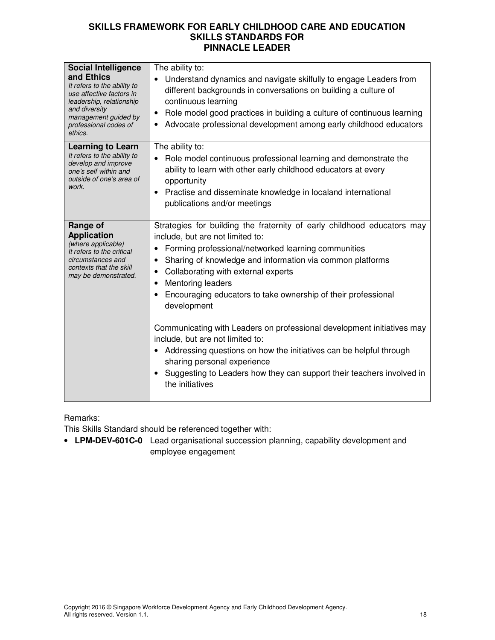| <b>Social Intelligence</b><br>and Ethics<br>It refers to the ability to<br>use affective factors in<br>leadership, relationship<br>and diversity<br>management guided by<br>professional codes of<br>ethics. | The ability to:<br>Understand dynamics and navigate skilfully to engage Leaders from<br>different backgrounds in conversations on building a culture of<br>continuous learning<br>Role model good practices in building a culture of continuous learning<br>$\bullet$<br>Advocate professional development among early childhood educators                                                                                                                                                                                                                                                                                                                                                                                              |
|--------------------------------------------------------------------------------------------------------------------------------------------------------------------------------------------------------------|-----------------------------------------------------------------------------------------------------------------------------------------------------------------------------------------------------------------------------------------------------------------------------------------------------------------------------------------------------------------------------------------------------------------------------------------------------------------------------------------------------------------------------------------------------------------------------------------------------------------------------------------------------------------------------------------------------------------------------------------|
| <b>Learning to Learn</b><br>It refers to the ability to<br>develop and improve<br>one's self within and<br>outside of one's area of<br>work.                                                                 | The ability to:<br>Role model continuous professional learning and demonstrate the<br>ability to learn with other early childhood educators at every<br>opportunity<br>Practise and disseminate knowledge in localand international<br>$\bullet$<br>publications and/or meetings                                                                                                                                                                                                                                                                                                                                                                                                                                                        |
| Range of<br><b>Application</b><br>(where applicable)<br>It refers to the critical<br>circumstances and<br>contexts that the skill<br>may be demonstrated.                                                    | Strategies for building the fraternity of early childhood educators may<br>include, but are not limited to:<br>Forming professional/networked learning communities<br>Sharing of knowledge and information via common platforms<br>Collaborating with external experts<br>٠<br><b>Mentoring leaders</b><br>$\bullet$<br>Encouraging educators to take ownership of their professional<br>$\bullet$<br>development<br>Communicating with Leaders on professional development initiatives may<br>include, but are not limited to:<br>• Addressing questions on how the initiatives can be helpful through<br>sharing personal experience<br>Suggesting to Leaders how they can support their teachers involved in<br>٠<br>the initiatives |

Remarks:

This Skills Standard should be referenced together with:

• **LPM-DEV-601C-0** Lead organisational succession planning, capability development and employee engagement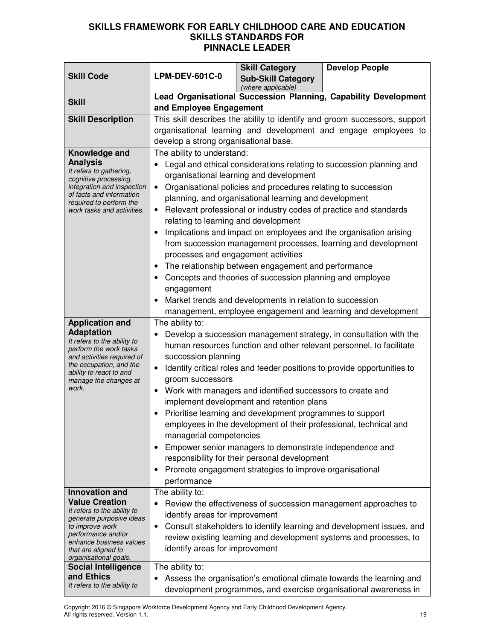|                                                                                                                                                                                                                            |                                                                                                                                                                                                                                                                                                                                                                                                                                                                                                                                                                                                                                                                                                                                                                                                                                                            | <b>Skill Category</b>                           | <b>Develop People</b>                                                                                                                                                                                          |
|----------------------------------------------------------------------------------------------------------------------------------------------------------------------------------------------------------------------------|------------------------------------------------------------------------------------------------------------------------------------------------------------------------------------------------------------------------------------------------------------------------------------------------------------------------------------------------------------------------------------------------------------------------------------------------------------------------------------------------------------------------------------------------------------------------------------------------------------------------------------------------------------------------------------------------------------------------------------------------------------------------------------------------------------------------------------------------------------|-------------------------------------------------|----------------------------------------------------------------------------------------------------------------------------------------------------------------------------------------------------------------|
| <b>Skill Code</b>                                                                                                                                                                                                          | <b>LPM-DEV-601C-0</b>                                                                                                                                                                                                                                                                                                                                                                                                                                                                                                                                                                                                                                                                                                                                                                                                                                      | <b>Sub-Skill Category</b><br>(where applicable) |                                                                                                                                                                                                                |
| <b>Skill</b>                                                                                                                                                                                                               | Lead Organisational Succession Planning, Capability Development<br>and Employee Engagement                                                                                                                                                                                                                                                                                                                                                                                                                                                                                                                                                                                                                                                                                                                                                                 |                                                 |                                                                                                                                                                                                                |
| <b>Skill Description</b>                                                                                                                                                                                                   | This skill describes the ability to identify and groom successors, support<br>organisational learning and development and engage employees to<br>develop a strong organisational base.                                                                                                                                                                                                                                                                                                                                                                                                                                                                                                                                                                                                                                                                     |                                                 |                                                                                                                                                                                                                |
| Knowledge and<br><b>Analysis</b><br>It refers to gathering,<br>cognitive processing,<br>integration and inspection<br>of facts and information<br>required to perform the<br>work tasks and activities.                    | The ability to understand:<br>Legal and ethical considerations relating to succession planning and<br>organisational learning and development<br>Organisational policies and procedures relating to succession<br>$\bullet$<br>planning, and organisational learning and development<br>Relevant professional or industry codes of practice and standards<br>$\bullet$<br>relating to learning and development<br>Implications and impact on employees and the organisation arising<br>from succession management processes, learning and development<br>processes and engagement activities<br>The relationship between engagement and performance<br>Concepts and theories of succession planning and employee<br>engagement<br>Market trends and developments in relation to succession<br>management, employee engagement and learning and development |                                                 |                                                                                                                                                                                                                |
| <b>Application and</b><br><b>Adaptation</b><br>It refers to the ability to<br>perform the work tasks<br>and activities required of<br>the occupation, and the<br>ability to react to and<br>manage the changes at<br>work. | The ability to:<br>Develop a succession management strategy, in consultation with the<br>human resources function and other relevant personnel, to facilitate<br>succession planning<br>Identify critical roles and feeder positions to provide opportunities to<br>$\bullet$<br>groom successors<br>Work with managers and identified successors to create and<br>$\bullet$<br>implement development and retention plans<br>Prioritise learning and development programmes to support<br>employees in the development of their professional, technical and<br>managerial competencies<br>Empower senior managers to demonstrate independence and<br>responsibility for their personal development<br>Promote engagement strategies to improve organisational<br>performance                                                                               |                                                 |                                                                                                                                                                                                                |
| Innovation and<br><b>Value Creation</b><br>It refers to the ability to<br>generate purposive ideas<br>to improve work<br>performance and/or<br>enhance business values<br>that are aligned to<br>organisational goals.     | The ability to:<br>identify areas for improvement<br>$\bullet$<br>identify areas for improvement                                                                                                                                                                                                                                                                                                                                                                                                                                                                                                                                                                                                                                                                                                                                                           |                                                 | Review the effectiveness of succession management approaches to<br>Consult stakeholders to identify learning and development issues, and<br>review existing learning and development systems and processes, to |
| <b>Social Intelligence</b><br>and Ethics<br>It refers to the ability to                                                                                                                                                    | The ability to:<br>Assess the organisation's emotional climate towards the learning and<br>development programmes, and exercise organisational awareness in                                                                                                                                                                                                                                                                                                                                                                                                                                                                                                                                                                                                                                                                                                |                                                 |                                                                                                                                                                                                                |

Copyright 2016 © Singapore Workforce Development Agency and Early Childhood Development Agency. All rights reserved. Version 1.1. 19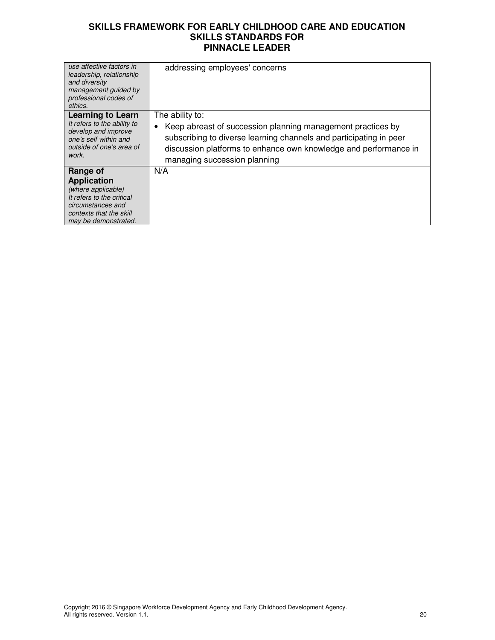| use affective factors in<br>leadership, relationship<br>and diversity<br>management guided by<br>professional codes of<br>ethics.             | addressing employees' concerns                                                                                                                                                                                                             |
|-----------------------------------------------------------------------------------------------------------------------------------------------|--------------------------------------------------------------------------------------------------------------------------------------------------------------------------------------------------------------------------------------------|
| <b>Learning to Learn</b>                                                                                                                      | The ability to:                                                                                                                                                                                                                            |
| It refers to the ability to<br>develop and improve<br>one's self within and<br>outside of one's area of<br>work.                              | Keep abreast of succession planning management practices by<br>٠<br>subscribing to diverse learning channels and participating in peer<br>discussion platforms to enhance own knowledge and performance in<br>managing succession planning |
| Range of                                                                                                                                      | N/A                                                                                                                                                                                                                                        |
| <b>Application</b><br>(where applicable)<br>It refers to the critical<br>circumstances and<br>contexts that the skill<br>may be demonstrated. |                                                                                                                                                                                                                                            |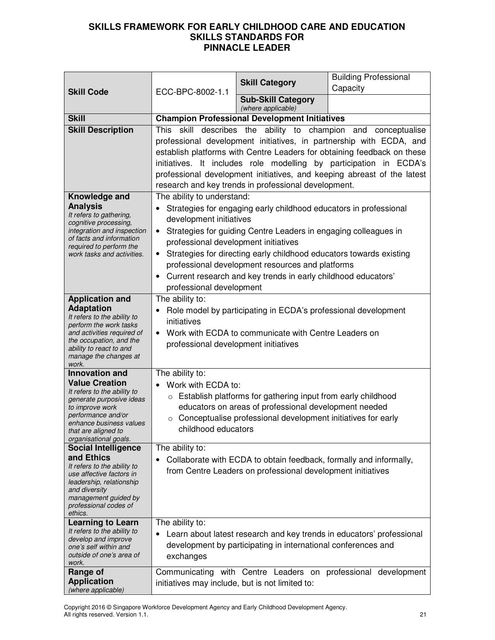|                                                                                                                                                                                                                                                                                                                                                                                                                      |                                                                                                                                                                                                                                                                                                                                                                                                                                              |                                                                                                                                                                                                                                                                                                                            | <b>Building Professional</b>                                          |
|----------------------------------------------------------------------------------------------------------------------------------------------------------------------------------------------------------------------------------------------------------------------------------------------------------------------------------------------------------------------------------------------------------------------|----------------------------------------------------------------------------------------------------------------------------------------------------------------------------------------------------------------------------------------------------------------------------------------------------------------------------------------------------------------------------------------------------------------------------------------------|----------------------------------------------------------------------------------------------------------------------------------------------------------------------------------------------------------------------------------------------------------------------------------------------------------------------------|-----------------------------------------------------------------------|
| <b>Skill Code</b>                                                                                                                                                                                                                                                                                                                                                                                                    | ECC-BPC-8002-1.1                                                                                                                                                                                                                                                                                                                                                                                                                             | <b>Skill Category</b>                                                                                                                                                                                                                                                                                                      | Capacity                                                              |
|                                                                                                                                                                                                                                                                                                                                                                                                                      |                                                                                                                                                                                                                                                                                                                                                                                                                                              | <b>Sub-Skill Category</b><br>(where applicable)                                                                                                                                                                                                                                                                            |                                                                       |
| <b>Skill</b>                                                                                                                                                                                                                                                                                                                                                                                                         |                                                                                                                                                                                                                                                                                                                                                                                                                                              | <b>Champion Professional Development Initiatives</b>                                                                                                                                                                                                                                                                       |                                                                       |
| <b>Skill Description</b>                                                                                                                                                                                                                                                                                                                                                                                             | describes the ability to champion and conceptualise<br>skill<br>This<br>professional development initiatives, in partnership with ECDA, and<br>establish platforms with Centre Leaders for obtaining feedback on these<br>initiatives. It includes role modelling by participation in ECDA's<br>professional development initiatives, and keeping abreast of the latest<br>research and key trends in professional development.              |                                                                                                                                                                                                                                                                                                                            |                                                                       |
| Knowledge and                                                                                                                                                                                                                                                                                                                                                                                                        | The ability to understand:                                                                                                                                                                                                                                                                                                                                                                                                                   |                                                                                                                                                                                                                                                                                                                            |                                                                       |
| <b>Analysis</b><br>It refers to gathering,<br>cognitive processing,<br>integration and inspection<br>of facts and information<br>required to perform the<br>work tasks and activities.                                                                                                                                                                                                                               | Strategies for engaging early childhood educators in professional<br>development initiatives<br>Strategies for guiding Centre Leaders in engaging colleagues in<br>professional development initiatives<br>Strategies for directing early childhood educators towards existing<br>$\bullet$<br>professional development resources and platforms<br>Current research and key trends in early childhood educators'<br>professional development |                                                                                                                                                                                                                                                                                                                            |                                                                       |
| <b>Application and</b>                                                                                                                                                                                                                                                                                                                                                                                               | The ability to:                                                                                                                                                                                                                                                                                                                                                                                                                              |                                                                                                                                                                                                                                                                                                                            |                                                                       |
| <b>Adaptation</b><br>It refers to the ability to<br>perform the work tasks<br>and activities required of<br>the occupation, and the<br>ability to react to and<br>manage the changes at<br>work.                                                                                                                                                                                                                     | initiatives<br>professional development initiatives                                                                                                                                                                                                                                                                                                                                                                                          | Role model by participating in ECDA's professional development<br>Work with ECDA to communicate with Centre Leaders on                                                                                                                                                                                                     |                                                                       |
| <b>Innovation and</b>                                                                                                                                                                                                                                                                                                                                                                                                | The ability to:                                                                                                                                                                                                                                                                                                                                                                                                                              |                                                                                                                                                                                                                                                                                                                            |                                                                       |
| <b>Value Creation</b><br>It refers to the ability to<br>generate purposive ideas<br>to improve work<br>performance and/or<br>enhance business values<br>that are aligned to<br>organisational goals.<br><b>Social Intelligence</b><br>and Ethics<br>It refers to the ability to<br>use affective factors in<br>leadership, relationship<br>and diversity<br>management guided by<br>professional codes of<br>ethics. | Work with ECDA to:<br>$\circ$<br>childhood educators<br>The ability to:                                                                                                                                                                                                                                                                                                                                                                      | Establish platforms for gathering input from early childhood<br>educators on areas of professional development needed<br>Conceptualise professional development initiatives for early<br>Collaborate with ECDA to obtain feedback, formally and informally,<br>from Centre Leaders on professional development initiatives |                                                                       |
| <b>Learning to Learn</b>                                                                                                                                                                                                                                                                                                                                                                                             | The ability to:                                                                                                                                                                                                                                                                                                                                                                                                                              |                                                                                                                                                                                                                                                                                                                            |                                                                       |
| It refers to the ability to<br>develop and improve<br>one's self within and<br>outside of one's area of<br>work.                                                                                                                                                                                                                                                                                                     | exchanges                                                                                                                                                                                                                                                                                                                                                                                                                                    | development by participating in international conferences and                                                                                                                                                                                                                                                              | Learn about latest research and key trends in educators' professional |
| Range of                                                                                                                                                                                                                                                                                                                                                                                                             |                                                                                                                                                                                                                                                                                                                                                                                                                                              |                                                                                                                                                                                                                                                                                                                            | Communicating with Centre Leaders on professional development         |
| <b>Application</b><br>(where applicable)                                                                                                                                                                                                                                                                                                                                                                             | initiatives may include, but is not limited to:                                                                                                                                                                                                                                                                                                                                                                                              |                                                                                                                                                                                                                                                                                                                            |                                                                       |

Copyright 2016 © Singapore Workforce Development Agency and Early Childhood Development Agency. All rights reserved. Version 1.1. 21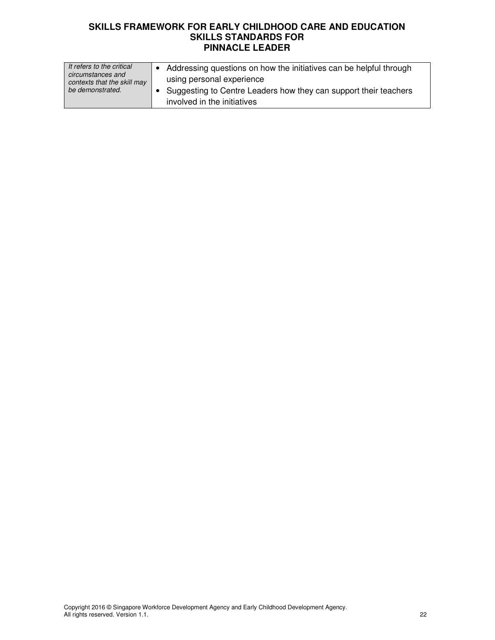| It refers to the critical<br>circumstances and<br>contexts that the skill may<br>be demonstrated. | Addressing questions on how the initiatives can be helpful through<br>using personal experience |
|---------------------------------------------------------------------------------------------------|-------------------------------------------------------------------------------------------------|
|                                                                                                   | Suggesting to Centre Leaders how they can support their teachers<br>involved in the initiatives |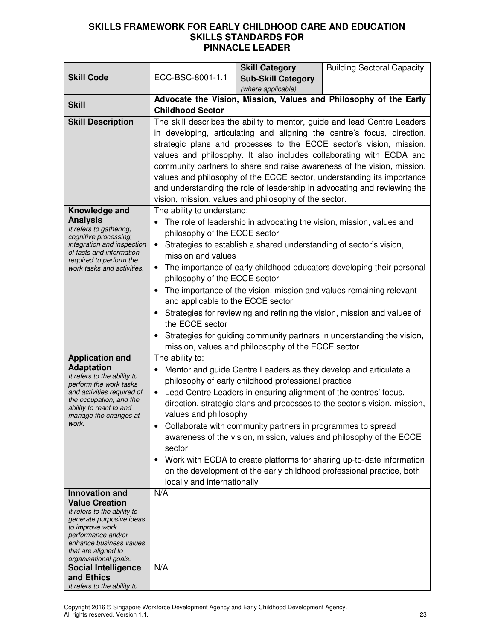|                                                                                                                                                                                                                               |                                                                                                                                                                                                                                                                                                                                                                                                                                                                                                                                                                                                                                                                                                       | <b>Skill Category</b>                                                                                                                                                                  | <b>Building Sectoral Capacity</b>                                                                                                                                                                                                                                                                                                                                      |  |
|-------------------------------------------------------------------------------------------------------------------------------------------------------------------------------------------------------------------------------|-------------------------------------------------------------------------------------------------------------------------------------------------------------------------------------------------------------------------------------------------------------------------------------------------------------------------------------------------------------------------------------------------------------------------------------------------------------------------------------------------------------------------------------------------------------------------------------------------------------------------------------------------------------------------------------------------------|----------------------------------------------------------------------------------------------------------------------------------------------------------------------------------------|------------------------------------------------------------------------------------------------------------------------------------------------------------------------------------------------------------------------------------------------------------------------------------------------------------------------------------------------------------------------|--|
| <b>Skill Code</b>                                                                                                                                                                                                             | ECC-BSC-8001-1.1                                                                                                                                                                                                                                                                                                                                                                                                                                                                                                                                                                                                                                                                                      | <b>Sub-Skill Category</b>                                                                                                                                                              |                                                                                                                                                                                                                                                                                                                                                                        |  |
|                                                                                                                                                                                                                               |                                                                                                                                                                                                                                                                                                                                                                                                                                                                                                                                                                                                                                                                                                       | (where applicable)                                                                                                                                                                     |                                                                                                                                                                                                                                                                                                                                                                        |  |
| <b>Skill</b>                                                                                                                                                                                                                  | Advocate the Vision, Mission, Values and Philosophy of the Early<br><b>Childhood Sector</b>                                                                                                                                                                                                                                                                                                                                                                                                                                                                                                                                                                                                           |                                                                                                                                                                                        |                                                                                                                                                                                                                                                                                                                                                                        |  |
| <b>Skill Description</b>                                                                                                                                                                                                      | The skill describes the ability to mentor, guide and lead Centre Leaders<br>in developing, articulating and aligning the centre's focus, direction,<br>strategic plans and processes to the ECCE sector's vision, mission,<br>values and philosophy. It also includes collaborating with ECDA and<br>community partners to share and raise awareness of the vision, mission,<br>values and philosophy of the ECCE sector, understanding its importance<br>and understanding the role of leadership in advocating and reviewing the<br>vision, mission, values and philosophy of the sector.                                                                                                           |                                                                                                                                                                                        |                                                                                                                                                                                                                                                                                                                                                                        |  |
| Knowledge and<br><b>Analysis</b><br>It refers to gathering,<br>cognitive processing,<br>integration and inspection<br>of facts and information<br>required to perform the<br>work tasks and activities.                       | The ability to understand:<br>The role of leadership in advocating the vision, mission, values and<br>٠<br>philosophy of the ECCE sector<br>Strategies to establish a shared understanding of sector's vision,<br>mission and values<br>The importance of early childhood educators developing their personal<br>philosophy of the ECCE sector<br>The importance of the vision, mission and values remaining relevant<br>$\bullet$<br>and applicable to the ECCE sector<br>Strategies for reviewing and refining the vision, mission and values of<br>the ECCE sector<br>Strategies for guiding community partners in understanding the vision,<br>mission, values and philopsophy of the ECCE sector |                                                                                                                                                                                        |                                                                                                                                                                                                                                                                                                                                                                        |  |
| <b>Application and</b><br><b>Adaptation</b><br>It refers to the ability to<br>perform the work tasks<br>and activities required of<br>the occupation, and the<br>ability to react to and<br>manage the changes at<br>work.    | The ability to:<br>$\bullet$<br>values and philosophy<br>sector<br>$\bullet$<br>locally and internationally                                                                                                                                                                                                                                                                                                                                                                                                                                                                                                                                                                                           | philosophy of early childhood professional practice<br>Lead Centre Leaders in ensuring alignment of the centres' focus,<br>Collaborate with community partners in programmes to spread | Mentor and guide Centre Leaders as they develop and articulate a<br>direction, strategic plans and processes to the sector's vision, mission,<br>awareness of the vision, mission, values and philosophy of the ECCE<br>Work with ECDA to create platforms for sharing up-to-date information<br>on the development of the early childhood professional practice, both |  |
| <b>Innovation and</b><br><b>Value Creation</b><br>It refers to the ability to<br>generate purposive ideas<br>to improve work<br>performance and/or<br>enhance business values<br>that are aligned to<br>organisational goals. | N/A                                                                                                                                                                                                                                                                                                                                                                                                                                                                                                                                                                                                                                                                                                   |                                                                                                                                                                                        |                                                                                                                                                                                                                                                                                                                                                                        |  |
| <b>Social Intelligence</b><br>and Ethics<br>It refers to the ability to                                                                                                                                                       | N/A                                                                                                                                                                                                                                                                                                                                                                                                                                                                                                                                                                                                                                                                                                   |                                                                                                                                                                                        |                                                                                                                                                                                                                                                                                                                                                                        |  |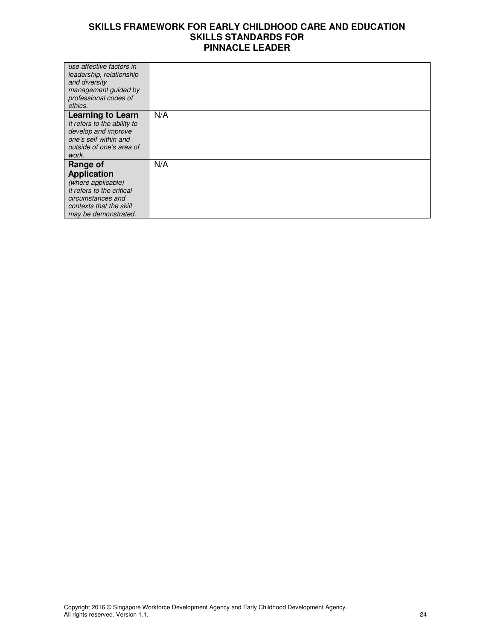| use affective factors in                          |     |
|---------------------------------------------------|-----|
| leadership, relationship<br>and diversity         |     |
| management guided by                              |     |
| professional codes of<br>ethics.                  |     |
| <b>Learning to Learn</b>                          | N/A |
| It refers to the ability to                       |     |
| develop and improve                               |     |
| one's self within and<br>outside of one's area of |     |
| work.                                             |     |
| Range of                                          | N/A |
| <b>Application</b>                                |     |
| (where applicable)                                |     |
| It refers to the critical                         |     |
| circumstances and<br>contexts that the skill      |     |
| may be demonstrated.                              |     |
|                                                   |     |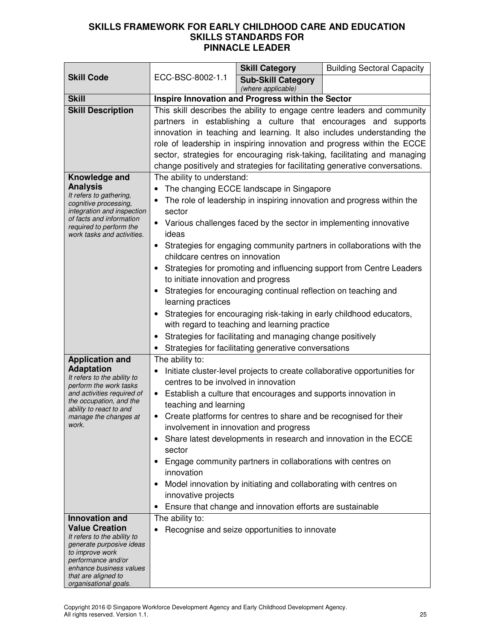|                                                                                                                                                                                                                               | ECC-BSC-8002-1.1                                                                                                                                                                                                                                                                                                                                                                                                                                                                                                                                                                                                                                                                                                                                                      | <b>Skill Category</b>                                                                                                                                                                                                                                                                                                                                                                                                                   | <b>Building Sectoral Capacity</b>                                                                                                             |  |
|-------------------------------------------------------------------------------------------------------------------------------------------------------------------------------------------------------------------------------|-----------------------------------------------------------------------------------------------------------------------------------------------------------------------------------------------------------------------------------------------------------------------------------------------------------------------------------------------------------------------------------------------------------------------------------------------------------------------------------------------------------------------------------------------------------------------------------------------------------------------------------------------------------------------------------------------------------------------------------------------------------------------|-----------------------------------------------------------------------------------------------------------------------------------------------------------------------------------------------------------------------------------------------------------------------------------------------------------------------------------------------------------------------------------------------------------------------------------------|-----------------------------------------------------------------------------------------------------------------------------------------------|--|
| <b>Skill Code</b>                                                                                                                                                                                                             |                                                                                                                                                                                                                                                                                                                                                                                                                                                                                                                                                                                                                                                                                                                                                                       | <b>Sub-Skill Category</b><br>(where applicable)                                                                                                                                                                                                                                                                                                                                                                                         |                                                                                                                                               |  |
| <b>Skill</b>                                                                                                                                                                                                                  | Inspire Innovation and Progress within the Sector                                                                                                                                                                                                                                                                                                                                                                                                                                                                                                                                                                                                                                                                                                                     |                                                                                                                                                                                                                                                                                                                                                                                                                                         |                                                                                                                                               |  |
| <b>Skill Description</b>                                                                                                                                                                                                      | This skill describes the ability to engage centre leaders and community<br>partners in establishing a culture that encourages and supports<br>innovation in teaching and learning. It also includes understanding the<br>role of leadership in inspiring innovation and progress within the ECCE<br>sector, strategies for encouraging risk-taking, facilitating and managing<br>change positively and strategies for facilitating generative conversations.                                                                                                                                                                                                                                                                                                          |                                                                                                                                                                                                                                                                                                                                                                                                                                         |                                                                                                                                               |  |
| Knowledge and<br><b>Analysis</b><br>It refers to gathering,<br>cognitive processing,<br>integration and inspection<br>of facts and information<br>required to perform the<br>work tasks and activities.                       | The ability to understand:<br>The changing ECCE landscape in Singapore<br>٠<br>The role of leadership in inspiring innovation and progress within the<br>sector<br>Various challenges faced by the sector in implementing innovative<br>ideas<br>Strategies for engaging community partners in collaborations with the<br>$\bullet$<br>childcare centres on innovation<br>Strategies for promoting and influencing support from Centre Leaders<br>to initiate innovation and progress<br>Strategies for encouraging continual reflection on teaching and<br>learning practices<br>Strategies for encouraging risk-taking in early childhood educators,<br>with regard to teaching and learning practice<br>Strategies for facilitating and managing change positively |                                                                                                                                                                                                                                                                                                                                                                                                                                         |                                                                                                                                               |  |
| <b>Application and</b><br><b>Adaptation</b><br>It refers to the ability to<br>perform the work tasks<br>and activities required of<br>the occupation, and the<br>ability to react to and<br>manage the changes at<br>work.    | The ability to:<br>centres to be involved in innovation<br>teaching and learning<br>٠<br>sector<br>innovation<br>innovative projects<br>$\bullet$                                                                                                                                                                                                                                                                                                                                                                                                                                                                                                                                                                                                                     | Strategies for facilitating generative conversations<br>• Establish a culture that encourages and supports innovation in<br>Create platforms for centres to share and be recognised for their<br>involvement in innovation and progress<br>Engage community partners in collaborations with centres on<br>Model innovation by initiating and collaborating with centres on<br>Ensure that change and innovation efforts are sustainable | Initiate cluster-level projects to create collaborative opportunities for<br>Share latest developments in research and innovation in the ECCE |  |
| <b>Innovation and</b><br><b>Value Creation</b><br>It refers to the ability to<br>generate purposive ideas<br>to improve work<br>performance and/or<br>enhance business values<br>that are aligned to<br>organisational goals. | The ability to:                                                                                                                                                                                                                                                                                                                                                                                                                                                                                                                                                                                                                                                                                                                                                       | Recognise and seize opportunities to innovate                                                                                                                                                                                                                                                                                                                                                                                           |                                                                                                                                               |  |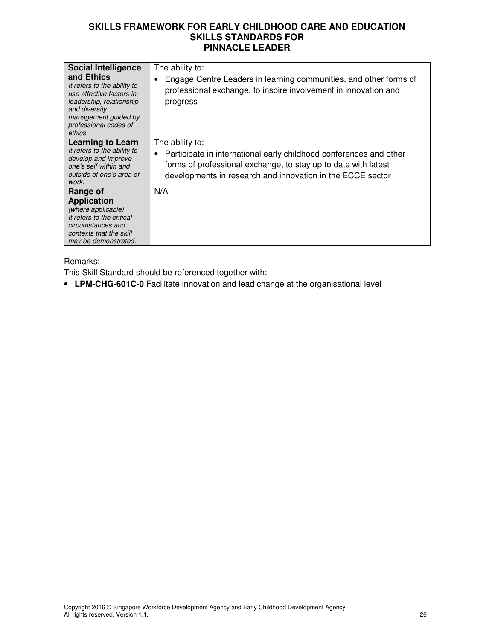| <b>Social Intelligence</b><br>and Ethics<br>It refers to the ability to<br>use affective factors in<br>leadership, relationship<br>and diversity<br>management guided by<br>professional codes of<br>ethics. | The ability to:<br>Engage Centre Leaders in learning communities, and other forms of<br>professional exchange, to inspire involvement in innovation and<br>progress                                                                |
|--------------------------------------------------------------------------------------------------------------------------------------------------------------------------------------------------------------|------------------------------------------------------------------------------------------------------------------------------------------------------------------------------------------------------------------------------------|
| Learning to Learn<br>It refers to the ability to<br>develop and improve<br>one's self within and<br>outside of one's area of<br>work.                                                                        | The ability to:<br>Participate in international early childhood conferences and other<br>$\bullet$<br>forms of professional exchange, to stay up to date with latest<br>developments in research and innovation in the ECCE sector |
| Range of<br><b>Application</b><br>(where applicable)<br>It refers to the critical<br>circumstances and<br>contexts that the skill<br>may be demonstrated.                                                    | N/A                                                                                                                                                                                                                                |

#### Remarks:

This Skill Standard should be referenced together with:

• **LPM-CHG-601C-0** Facilitate innovation and lead change at the organisational level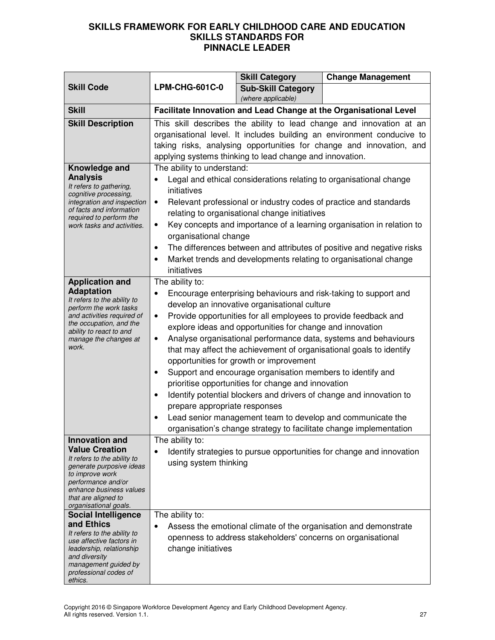|                                                                                                                                                                                                                               |                                                                                                                                                                                                                                                                                                                                                                                                                                                                                                                                                                                                                                                                                                                                                                                                                                            | <b>Skill Category</b>                                        | <b>Change Management</b>                                                                                                                                                                                               |
|-------------------------------------------------------------------------------------------------------------------------------------------------------------------------------------------------------------------------------|--------------------------------------------------------------------------------------------------------------------------------------------------------------------------------------------------------------------------------------------------------------------------------------------------------------------------------------------------------------------------------------------------------------------------------------------------------------------------------------------------------------------------------------------------------------------------------------------------------------------------------------------------------------------------------------------------------------------------------------------------------------------------------------------------------------------------------------------|--------------------------------------------------------------|------------------------------------------------------------------------------------------------------------------------------------------------------------------------------------------------------------------------|
| <b>Skill Code</b>                                                                                                                                                                                                             | <b>LPM-CHG-601C-0</b>                                                                                                                                                                                                                                                                                                                                                                                                                                                                                                                                                                                                                                                                                                                                                                                                                      | <b>Sub-Skill Category</b>                                    |                                                                                                                                                                                                                        |
|                                                                                                                                                                                                                               |                                                                                                                                                                                                                                                                                                                                                                                                                                                                                                                                                                                                                                                                                                                                                                                                                                            | (where applicable)                                           |                                                                                                                                                                                                                        |
| <b>Skill</b>                                                                                                                                                                                                                  |                                                                                                                                                                                                                                                                                                                                                                                                                                                                                                                                                                                                                                                                                                                                                                                                                                            |                                                              | Facilitate Innovation and Lead Change at the Organisational Level                                                                                                                                                      |
| <b>Skill Description</b>                                                                                                                                                                                                      |                                                                                                                                                                                                                                                                                                                                                                                                                                                                                                                                                                                                                                                                                                                                                                                                                                            | applying systems thinking to lead change and innovation.     | This skill describes the ability to lead change and innovation at an<br>organisational level. It includes building an environment conducive to<br>taking risks, analysing opportunities for change and innovation, and |
| Knowledge and<br><b>Analysis</b><br>It refers to gathering,<br>cognitive processing,<br>integration and inspection<br>of facts and information<br>required to perform the<br>work tasks and activities.                       | The ability to understand:<br>Legal and ethical considerations relating to organisational change<br>initiatives<br>Relevant professional or industry codes of practice and standards<br>٠<br>relating to organisational change initiatives<br>Key concepts and importance of a learning organisation in relation to<br>٠<br>organisational change<br>The differences between and attributes of positive and negative risks<br>$\bullet$<br>Market trends and developments relating to organisational change<br>initiatives                                                                                                                                                                                                                                                                                                                 |                                                              |                                                                                                                                                                                                                        |
| <b>Application and</b><br><b>Adaptation</b><br>It refers to the ability to<br>perform the work tasks<br>and activities required of<br>the occupation, and the<br>ability to react to and<br>manage the changes at<br>work.    | The ability to:<br>Encourage enterprising behaviours and risk-taking to support and<br>develop an innovative organisational culture<br>Provide opportunities for all employees to provide feedback and<br>$\bullet$<br>explore ideas and opportunities for change and innovation<br>Analyse organisational performance data, systems and behaviours<br>٠<br>that may affect the achievement of organisational goals to identify<br>opportunities for growth or improvement<br>Support and encourage organisation members to identify and<br>prioritise opportunities for change and innovation<br>Identify potential blockers and drivers of change and innovation to<br>prepare appropriate responses<br>Lead senior management team to develop and communicate the<br>organisation's change strategy to facilitate change implementation |                                                              |                                                                                                                                                                                                                        |
| <b>Innovation and</b><br><b>Value Creation</b><br>It refers to the ability to<br>generate purposive ideas<br>to improve work<br>performance and/or<br>enhance business values<br>that are aligned to<br>organisational goals. | The ability to:<br>using system thinking                                                                                                                                                                                                                                                                                                                                                                                                                                                                                                                                                                                                                                                                                                                                                                                                   |                                                              | Identify strategies to pursue opportunities for change and innovation                                                                                                                                                  |
| <b>Social Intelligence</b><br>and Ethics<br>It refers to the ability to<br>use affective factors in<br>leadership, relationship<br>and diversity<br>management guided by<br>professional codes of<br>ethics.                  | The ability to:<br>change initiatives                                                                                                                                                                                                                                                                                                                                                                                                                                                                                                                                                                                                                                                                                                                                                                                                      | openness to address stakeholders' concerns on organisational | Assess the emotional climate of the organisation and demonstrate                                                                                                                                                       |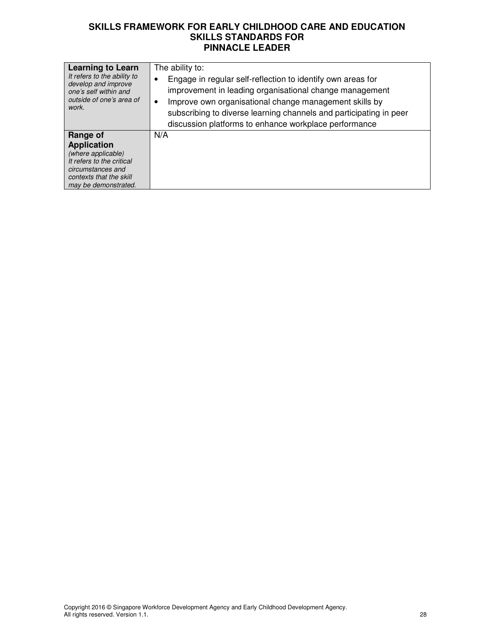| <b>Learning to Learn</b>                                                                                                                                  | The ability to:                                                    |
|-----------------------------------------------------------------------------------------------------------------------------------------------------------|--------------------------------------------------------------------|
| It refers to the ability to                                                                                                                               | Engage in regular self-reflection to identify own areas for        |
| develop and improve                                                                                                                                       | improvement in leading organisational change management            |
| one's self within and                                                                                                                                     | Improve own organisational change management skills by             |
| outside of one's area of                                                                                                                                  | subscribing to diverse learning channels and participating in peer |
| work.                                                                                                                                                     | discussion platforms to enhance workplace performance              |
| Range of<br><b>Application</b><br>(where applicable)<br>It refers to the critical<br>circumstances and<br>contexts that the skill<br>may be demonstrated. | N/A                                                                |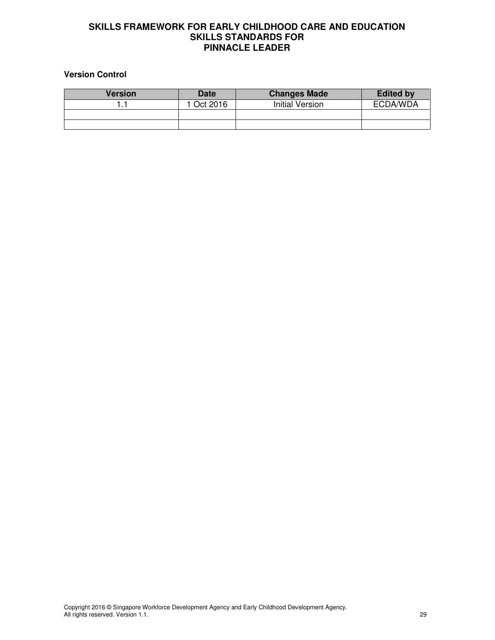#### **Version Control**

| <b>Version</b> | <b>Date</b> | <b>Changes Made</b> | <b>Edited by</b> |
|----------------|-------------|---------------------|------------------|
|                | l Oct 2016  | Initial Version     | ECDA/WDA         |
|                |             |                     |                  |
|                |             |                     |                  |